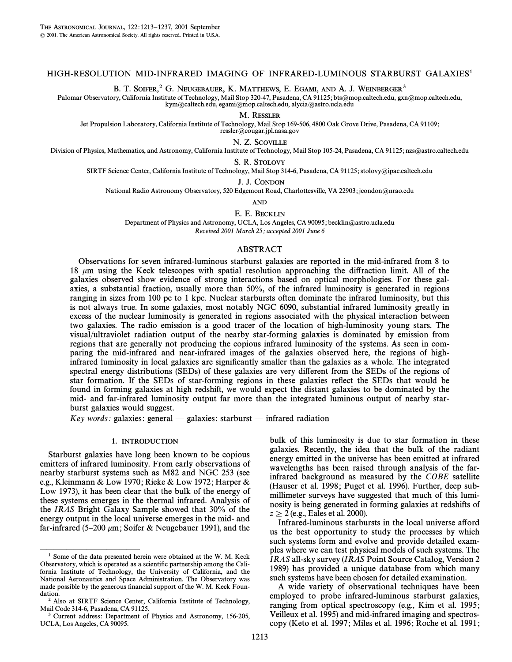# HIGH-RESOLUTION MID-INFRARED IMAGING OF INFRARED-LUMINOUS STARBURST GALAXIES<sup>1</sup>

B. T. SOIFER,<sup>2</sup> G. NEUGEBAUER, K. MATTHEWS, E. EGAMI, AND A. J. WEINBERGER<sup>3</sup>

Palomar Observatory, California Institute of Technology, Mail Stop 320-47, Pasadena, CA 91125; bts@mop.caltech.edu, gxn@mop.caltech.edu, kym@caltech.edu, egami@mop.caltech.edu, alycia@astro.ucla.edu

M. RESSLER

Jet Propulsion Laboratory, California Institute of Technology, Mail Stop 169-506, 4800 Oak Grove Drive, Pasadena, CA 91109 ;

 $ressler@cougar.ipl. nasa.gov$ 

N. Z. SCOVILLE

Division of Physics, Mathematics, and Astronomy, California Institute of Technology, Mail Stop 105-24, Pasadena, CA 91125; nzs@astro.caltech.edu

S. R. STOLOVY

SIRTF Science Center, California Institute of Technology, Mail Stop 314-6, Pasadena, CA 91125; stolovy@ipac.caltech.edu

J. J. CONDON

National Radio Astronomy Observatory, 520 Edgemont Road, Charlottesville, VA 22903; jcondon@nrao.edu

AND

E. E. BECKLIN

Department of Physics and Astronomy, UCLA, Los Angeles, CA 90095; becklin@astro.ucla.edu

Received 2001 March 25; accepted 2001 June 6

### ABSTRACT

Observations for seven infrared-luminous starburst galaxies are reported in the mid-infrared from 8 to 18  $\mu$ m using the Keck telescopes with spatial resolution approaching the diffraction limit. All of the galaxies observed show evidence of strong interactions based on optical morphologies. For these galaxies, a substantial fraction, usually more than 50%, of the infrared luminosity is generated in regions ranging in sizes from 100 pc to 1 kpc. Nuclear starbursts often dominate the infrared luminosity, but this is not always true. In some galaxies, most notably NGC 6090, substantial infrared luminosity greatly in excess of the nuclear luminosity is generated in regions associated with the physical interaction between two galaxies. The radio emission is a good tracer of the location of high-luminosity young stars. The visual/ultraviolet radiation output of the nearby star-forming galaxies is dominated by emission from regions that are generally not producing the copious infrared luminosity of the systems. As seen in comparing the mid-infrared and near-infrared images of the galaxies observed here, the regions of highinfrared luminosity in local galaxies are significantly smaller than the galaxies as a whole. The integrated spectral energy distributions (SEDs) of these galaxies are very different from the SEDs of the regions of star formation. If the SEDs of star-forming regions in these galaxies reflect the SEDs that would be found in forming galaxies at high redshift, we would expect the distant galaxies to be dominated by the mid- and far-infrared luminosity output far more than the integrated luminous output of nearby starburst galaxies would suggest.

Key words: galaxies: general  $-$  galaxies: starburst  $-$  infrared radiation

## 1. INTRODUCTION

Starburst galaxies have long been known to be copious emitters of infrared luminosity. From early observations of nearby starburst systems such as M82 and NGC 253 (see e.g., Kleinmann & Low 1970 ; Rieke & Low 1972 ; Harper & Low 1973), it has been clear that the bulk of the energy of these systems emerges in the thermal infrared. Analysis of the IRAS Bright Galaxy Sample showed that 30% of the energy output in the local universe emerges in the mid- and far-infrared (5–200  $\mu$ m; Soifer & Neugebauer 1991), and the

bulk of this luminosity is due to star formation in these galaxies. Recently, the idea that the bulk of the radiant energy emitted in the universe has been emitted at infrared wavelengths has been raised through analysis of the farinfrared background as measured by the COBE satellite (Hauser et al. 1998; Puget et al. 1996). Further, deep submillimeter surveys have suggested that much of this luminosity is being generated in forming galaxies at redshifts of  $z \ge 2$  (e.g., Eales et al. 2000).

Infrared-luminous starbursts in the local universe afford us the best opportunity to study the processes by which such systems form and evolve and provide detailed examples where we can test physical models of such systems. The IRAS all-sky survey (IRAS Point Source Catalog, Version 2 1989) has provided a unique database from which many such systems have been chosen for detailed examination.

A wide variety of observational techniques have been employed to probe infrared-luminous starburst galaxies, ranging from optical spectroscopy (e.g., Kim et al. 1995; Veilleux et al. 1995) and mid-infrared imaging and spectroscopy (Keto et al. 1997 ; Miles et al. 1996 ; Roche et al. 1991 ;

ÈÈÈÈÈÈÈÈÈÈÈÈÈÈÈ <sup>1</sup> Some of the data presented herein were obtained at the W. M. Keck Observatory, which is operated as a scientific partnership among the California Institute of Technology, the University of California, and the National Aeronautics and Space Administration. The Observatory was made possible by the generous financial support of the W. M. Keck Foundation.

<sup>2</sup> Also at SIRTF Science Center, California Institute of Technology, Mail Code 314-6, Pasadena, CA 91125.

<sup>&</sup>lt;sup>3</sup> Current address: Department of Physics and Astronomy, 156-205, UCLA, Los Angeles, CA 90095.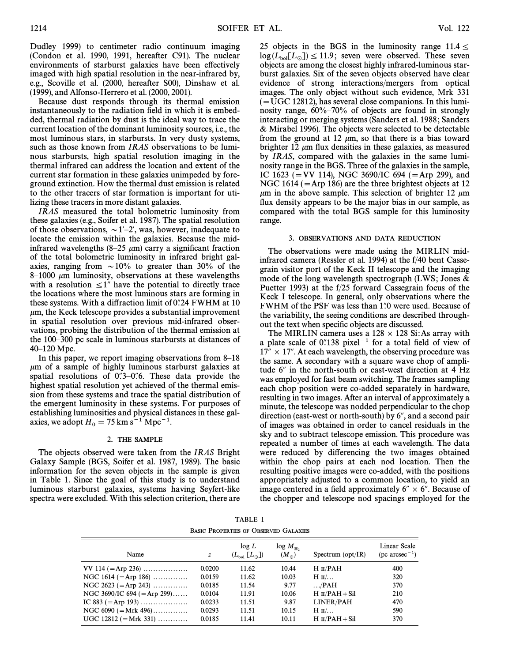Dudley 1999) to centimeter radio continuum imaging (Condon et al. 1990, 1991, hereafter C91). The nuclear environments of starburst galaxies have been effectively imaged with high spatial resolution in the near-infrared by, e.g., Scoville et al. (2000, hereafter S00), Dinshaw et al. (1999), and Alfonso-Herrero et al. (2000, 2001).

Because dust responds through its thermal emission instantaneously to the radiation field in which it is embedded, thermal radiation by dust is the ideal way to trace the current location of the dominant luminosity sources, i.e., the most luminous stars, in starbursts. In very dusty systems, such as those known from *IRAS* observations to be luminous starbursts, high spatial resolution imaging in the thermal infrared can address the location and extent of the current star formation in these galaxies unimpeded by foreground extinction. How the thermal dust emission is related to the other tracers of star formation is important for utilizing these tracers in more distant galaxies.

IRAS measured the total bolometric luminosity from these galaxies (e.g., Soifer et al. 1987). The spatial resolution of those observations,  $\sim$  1'-2', was, however, inadequate to locate the emission within the galaxies. Because the midinfrared wavelengths (8–25  $\mu$ m) carry a significant fraction of the total bolometric luminosity in infrared bright galaxies, ranging from  $\sim 10\%$  to greater than 30% of the  $8-1000 \mu m$  luminosity, observations at these wavelengths with a resolution  $\leq 1$ <sup>"</sup> have the potential to directly trace the locations where the most luminous stars are forming in these systems. With a diffraction limit of  $0\degree$  24 FWHM at 10  $\mu$ m, the Keck telescope provides a substantial improvement in spatial resolution over previous mid-infrared observations, probing the distribution of the thermal emission at the 100–300 pc scale in luminous starbursts at distances of  $40-120$  Mpc.

In this paper, we report imaging observations from  $8-18$  $\mu$ m of a sample of highly luminous starburst galaxies at spatial resolutions of  $0\rlap{.}^{\prime\prime}3-0\rlap{.}^{\prime\prime}6.$  These data provide the highest spatial resolution yet achieved of the thermal emission from these systems and trace the spatial distribution of the emergent luminosity in these systems. For purposes of establishing luminosities and physical distances in these galaxies, we adopt  $H_0 = 75 \text{ km s}^{-1} \text{ Mpc}^{-1}$ .

#### 2. THE SAMPLE

The objects observed were taken from the IRAS Bright Galaxy Sample (BGS, Soifer et al. 1987, 1989). The basic information for the seven objects in the sample is given in Table 1. Since the goal of this study is to understand luminous starburst galaxies, systems having Seyfert-like spectra were excluded. With this selection criterion, there are

25 objects in the BGS in the luminosity range  $11.4 \le$  $log(L_{\text{bol}}[L_{\odot}]) \le 11.9$ ; seven were observed. These seven objects are among the closest highly infrared-luminous starburst galaxies. Six of the seven objects observed have clear evidence of strong interactions/mergers from optical images. The only object without such evidence, Mrk 331  $(= UGC 12812)$ , has several close companions. In this luminosity range,  $60\% - 70\%$  of objects are found in strongly interacting or merging systems (Sanders et al. 1988 ; Sanders & Mirabel 1996). The objects were selected to be detectable from the ground at 12  $\mu$ m, so that there is a bias toward brighter 12  $\mu$ m flux densities in these galaxies, as measured by IRAS, compared with the galaxies in the same luminosity range in the BGS. Three of the galaxies in the sample, IC 1623 (= VV 114), NGC 3690/IC 694 (= Arp 299), and NGC 1614 ( $=$ Arp 186) are the three brightest objects at 12  $\mu$ m in the above sample. This selection of brighter 12  $\mu$ m flux density appears to be the major bias in our sample, as compared with the total BGS sample for this luminosity range.

### 3. OBSERVATIONS AND DATA REDUCTION

The observations were made using the MIRLIN midinfrared camera (Ressler et al. 1994) at the f/40 bent Cassegrain visitor port of the Keck II telescope and the imaging mode of the long wavelength spectrograph (LWS; Jones  $\&$ Puetter 1993) at the f/25 forward Cassegrain focus of the Keck I telescope. In general, only observations where the FWHM of the PSF was less than 1.0 were used. Because of the variability, the seeing conditions are described throughout the text when specific objects are discussed.

The MIRLIN camera uses a  $128 \times 128$  Si:As array with a plate scale of  $0$ . 138 pixel<sup>-1</sup> for a total field of view of  $17'' \times 17''$ . At each wavelength, the observing procedure was the same. A secondary with a square wave chop of amplitude  $6''$  in the north-south or east-west direction at 4 Hz was employed for fast beam switching. The frames sampling each chop position were co-added separately in hardware, resulting in two images. After an interval of approximately a minute, the telescope was nodded perpendicular to the chop direction (east-west or north-south) by  $6^{\prime\prime}$ , and a second pair of images was obtained in order to cancel residuals in the sky and to subtract telescope emission. This procedure was repeated a number of times at each wavelength. The data were reduced by differencing the two images obtained within the chop pairs at each nod location. Then the resulting positive images were co-added, with the positions appropriately adjusted to a common location, to yield an image centered in a field approximately  $6'' \times 6''$ . Because of the chopper and telescope nod spacings employed for the

TABLE 1 BASIC PROPERTIES OF OBSERVED GALAXIES

| Name                           | z      | log L<br>$(L_{\rm bol} [L_{\odot}])$ | $log M_{H_2}$<br>$(M_{\odot})$ | Spectrum $\text{opt/IR}$ | Linear Scale<br>$(pc \, arcsec^{-1})$ |
|--------------------------------|--------|--------------------------------------|--------------------------------|--------------------------|---------------------------------------|
| $VV 114 (= Arp 236) \dots$     | 0.0200 | 11.62                                | 10.44                          | $H$ $\pi$ /PAH           | 400                                   |
| NGC $1614$ (=Arp 186)          | 0.0159 | 11.62                                | 10.03                          | $H$ II                   | 320                                   |
| NGC 2623 (= Arp 243)           | 0.0185 | 11.54                                | 9.77                           | $\ldots$ /PAH            | 370                                   |
| NGC 3690/IC 694 ( $=$ Arp 299) | 0.0104 | 11.91                                | 10.06                          | $H \pi$ /PAH + Sil       | 210                                   |
| IC 883 (=Arp 193)              | 0.0233 | 11.51                                | 9.87                           | <b>LINER/PAH</b>         | 470                                   |
| NGC $6090 (= Mrk 496)$         | 0.0293 | 11.51                                | 10.15                          | $H$ II                   | 590                                   |
| $UGC 12812 (= Mrk 331) \dots$  | 0.0185 | 11.41                                | 10.11                          | $H \pi$ /PAH + Sil       | 370                                   |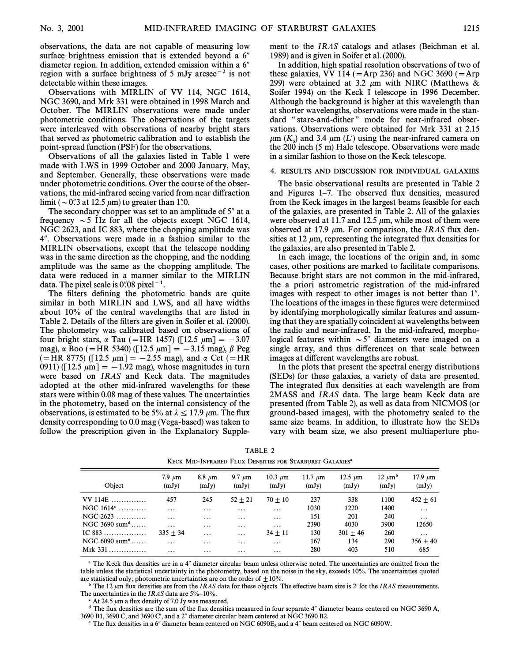observations, the data are not capable of measuring low surface brightness emission that is extended beyond a  $6<sup>''</sup>$ diameter region. In addition, extended emission within a  $6<sup>′</sup>$ region with a surface brightness of 5 mJy arcsec<sup>-2</sup> is not detectable within these images.

Observations with MIRLIN of VV 114, NGC 1614, NGC 3690, and Mrk 331 were obtained in 1998 March and October. The MIRLIN observations were made under photometric conditions. The observations of the targets were interleaved with observations of nearby bright stars that served as photometric calibration and to establish the point-spread function (PSF) for the observations.

Observations of all the galaxies listed in Table 1 were made with LWS in 1999 October and 2000 January, May, and September. Generally, these observations were made under photometric conditions. Over the course of the observations, the mid-infrared seeing varied from near diffraction limit ( $\sim$  0.3 at 12.5  $\mu$ m) to greater than 1.0.

The secondary chopper was set to an amplitude of  $5^{\prime\prime}$  at a frequency  $\sim$  5 Hz for all the objects except NGC 1614, NGC 2623, and IC 883, where the chopping amplitude was 4". Observations were made in a fashion similar to the MIRLIN observations, except that the telescope nodding was in the same direction as the chopping, and the nodding amplitude was the same as the chopping amplitude. The data were reduced in a manner similar to the MIRLIN data. The pixel scale is  $0\rlap.{''}08~\text{pixel}^{-1}$ .

The filters defining the photometric bands are quite similar in both MIRLIN and LWS, and all have widths about 10% of the central wavelengths that are listed in Table 2. Details of the filters are given in Soifer et al. (2000). The photometry was calibrated based on observations of four bright stars,  $\alpha$  Tau (=HR 1457) ([12.5  $\mu$ m] = -3.07 mag),  $\alpha$  Boo (= HR 5340) ([12.5  $\mu$ m] = -3.15 mag),  $\beta$  Peg  $(=\text{HR } 8775)$  ([12.5  $\mu$ m] = -2.55 mag), and  $\alpha$  Cet (=HR 0911) ([12.5  $\mu$ m] = -1.92 mag), whose magnitudes in turn were based on IRAS and Keck data. The magnitudes adopted at the other mid-infrared wavelengths for these stars were within 0.08 mag of these values. The uncertainties in the photometry, based on the internal consistency of the observations, is estimated to be 5% at  $\lambda \le 17.9 \ \mu \text{m}$ . The flux density corresponding to 0.0 mag (Vega-based) was taken to follow the prescription given in the Explanatory Supplement to the IRAS catalogs and atlases (Beichman et al. 1989) and is given in Soifer et al. (2000).

In addition, high spatial resolution observations of two of these galaxies, VV 114 ( $=\text{Arp}$  236) and NGC 3690 ( $=\text{Arp}$ ) 299) were obtained at 3.2  $\mu$ m with NIRC (Matthews & Soifer 1994) on the Keck I telescope in 1996 December. Although the background is higher at this wavelength than at shorter wavelengths, observations were made in the standard "stare-and-dither" mode for near-infrared observations. Observations were obtained for Mrk 331 at 2.15  $\mu$ m (K<sub>s</sub>) and 3.4  $\mu$ m (L') using the near-infrared camera on state of  $K_s$  m. Hele telescope Observations were mode the 200 inch (5 m) Hale telescope. Observations were made in a similar fashion to those on the Keck telescope.

#### 4. RESULTS AND DISCUSSION FOR INDIVIDUAL GALAXIES

The basic observational results are presented in Table 2 and Figures 1-7. The observed flux densities, measured from the Keck images in the largest beams feasible for each of the galaxies, are presented in Table 2. All of the galaxies were observed at 11.7 and 12.5  $\mu$ m, while most of them were observed at 17.9  $\mu$ m. For comparison, the IRAS flux densities at 12  $\mu$ m, representing the integrated flux densities for the galaxies, are also presented in Table 2.

In each image, the locations of the origin and, in some cases, other positions are marked to facilitate comparisons. Because bright stars are not common in the mid-infrared, the a priori astrometric registration of the mid-infrared images with respect to other images is not better than 1". The locations of the images in these figures were determined by identifying morphologically similar features and assuming that they are spatially coincident at wavelengths between the radio and near-infrared. In the mid-infrared, morphological features within  $\sim 5$ " diameters were imaged on a single array, and thus differences on that scale between images at different wavelengths are robust.

In the plots that present the spectral energy distributions (SEDs) for these galaxies, a variety of data are presented. The integrated Ñux densities at each wavelength are from 2MASS and IRAS data. The large beam Keck data are presented (from Table 2), as well as data from NICMOS (or ground-based images), with the photometry scaled to the same size beams. In addition, to illustrate how the SEDs vary with beam size, we also present multiaperture pho-

| Object                              | $7.9 \mu m$<br>(mJy) | $8.8 \mu m$<br>(mJy) | 9.7 $\mu$ m<br>(mJy) | 10.3 $\mu$ m<br>(mJy) | 11.7 $\mu$ m<br>(mJy) | $12.5 \mu m$<br>(mJy) | $12 \mu m^b$<br>(mJy) | $17.9~\mu m$<br>(mJy) |
|-------------------------------------|----------------------|----------------------|----------------------|-----------------------|-----------------------|-----------------------|-----------------------|-----------------------|
| VV 114E                             | 457                  | 245                  | $52 + 21$            | $70 + 10$             | 237                   | 338                   | 1100                  | $452 + 61$            |
| NGC $1614^{\circ}$                  | $\cdots$             | $\cdots$             | $\cdots$             | $\cdots$              | 1030                  | 1220                  | 1400                  | .                     |
| $NGC 2623$                          | $\cdot$              | $\cdot$              | $\cdot$              | $\cdots$              | 151                   | 201                   | 240                   | $\cdots$              |
| NGC 3690 sum $\text{d}$             | $\cdots$             | $\cdots$             | $\cdots$             | $\cdots$              | 2390                  | 4030                  | 3900                  | 12650                 |
| IC $883$                            | $335 + 34$           | $\cdots$             | $\cdots$             | $34 + 11$             | 130                   | $301 + 46$            | 260                   | $\cdots$              |
| NGC $6090 \text{ sum}$ <sup>e</sup> | $\cdot$              | $\cdots$             | $\cdots$             | $\cdots$              | 167                   | 134                   | 290                   | $356 + 40$            |
| Mrk $331$                           | $\cdots$             | $\cdots$             | $\cdots$             | $\cdots$              | 280                   | 403                   | 510                   | 685                   |

TABLE 2 KECK MID-INFRARED FLUX DENSITIES FOR STARBURST GALAXIES<sup>a</sup>

<sup>a</sup> The Keck flux densities are in a 4" diameter circular beam unless otherwise noted. The uncertainties are omitted from the table unless the statistical uncertainty in the photometry, based on the noise in the sky, exceeds 10%. The uncertainties quoted are statistical only; photometric uncertainties are on the order of  $\pm 10$ %.

 $\overline{b}$  The 12  $\mu$ m flux densities are from the IRAS data for these objects. The effective beam size is 2' for the IRAS measurements. The uncertainties in the IRAS data are  $5\%$ -10%.

 $\epsilon$  At 24.5  $\mu$ m a flux density of 7.0 Jy was measured.

 $d$  The flux densities are the sum of the flux densities measured in four separate 4" diameter beams centered on NGC 3690 A, 3690 B1, 3690 C, and 3690 C', and a 2" diameter circular beam centered at NGC 3690 B2.

 $\degree$  The flux densities in a 6" diameter beam centered on NGC 6090E<sub>s</sub> and a 4" beam centered on NGC 6090W.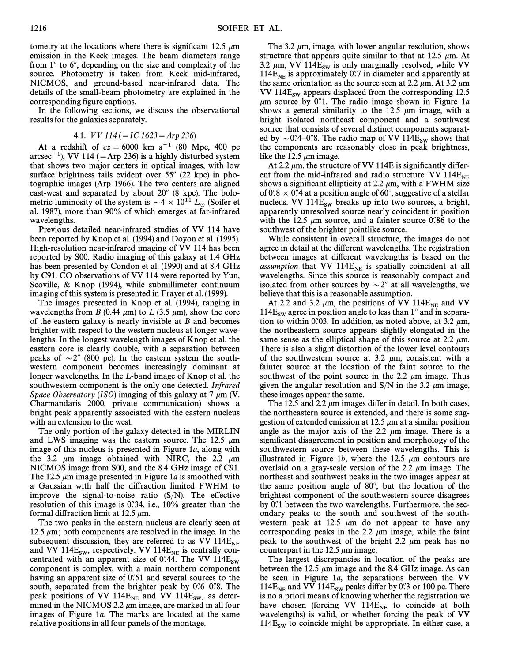tometry at the locations where there is significant 12.5  $\mu$ m emission in the Keck images. The beam diameters range from  $1''$  to  $6''$ , depending on the size and complexity of the source. Photometry is taken from Keck mid-infrared, NICMOS, and ground-based near-infrared data. The details of the small-beam photometry are explained in the corresponding figure captions.

In the following sections, we discuss the observational results for the galaxies separately.

4.1. V V 114 (\IC 1623\Arp 236)

At a redshift of  $cz = 6000 \text{ km s}^{-1}$  (80 Mpc, 400 pc arcsec<sup>-1</sup>), VV 114 ( $=$ Arp 236) is a highly disturbed system that shows two major centers in optical images, with low surface brightness tails evident over  $55''$  (22 kpc) in photographic images (Arp 1966). The two centers are aligned east-west and separated by about 20" (8 kpc). The bolometric luminosity of the system is  $\sim 4 \times 10^{11} L_{\odot}$  (Soifer et al. 1987), more than 90% of which emerges at far-infrared wavelengths.

Previous detailed near-infrared studies of VV 114 have been reported by Knop et al. (1994) and Doyon et al. (1995). High-resolution near-infrared imaging of VV 114 has been reported by S00. Radio imaging of this galaxy at 1.4 GHz has been presented by Condon et al. (1990) and at 8.4 GHz by C91. CO observations of VV 114 were reported by Yun, Scoville, & Knop (1994), while submillimeter continuum imaging of this system is presented in Frayer et al. (1999).

The images presented in Knop et al. (1994), ranging in wavelengths from B (0.44  $\mu$ m) to L (3.5  $\mu$ m), show the core of the eastern galaxy is nearly invisible at  $B$  and becomes brighter with respect to the western nucleus at longer wavelengths. In the longest wavelength images of Knop et al. the eastern core is clearly double, with a separation between peaks of  $\sim$  2" (800 pc). In the eastern system the southwestern component becomes increasingly dominant at longer wavelengths. In the L-band image of Knop et al. the southwestern component is the only one detected. Infrared Space Observatory (ISO) imaging of this galaxy at 7  $\mu$ m (V. Charmandaris 2000, private communication) shows a bright peak apparently associated with the eastern nucleus with an extension to the west.

The only portion of the galaxy detected in the MIRLIN and LWS imaging was the eastern source. The 12.5  $\mu$ m image of this nucleus is presented in Figure 1a, along with the 3.2  $\mu$ m image obtained with NIRC, the 2.2  $\mu$ m NICMOS image from S00, and the 8.4 GHz image of C91. The 12.5  $\mu$ m image presented in Figure 1a is smoothed with a Gaussian with half the diffraction limited FWHM to improve the signal-to-noise ratio  $(S/N)$ . The effective resolution of this image is  $0\degree 34$ , i.e.,  $10\%$  greater than the formal diffraction limit at 12.5  $\mu$ m.

The two peaks in the eastern nucleus are clearly seen at 12.5  $\mu$ m; both components are resolved in the image. In the subsequent discussion, they are referred to as VV 114E<sub>NE</sub> and VV 114E<sub>SW</sub>, respectively. VV 114E<sub>NE</sub> is centrally concentrated with an apparent size of 0.44. The VV 114E<sub>SW</sub> component is complex, with a main northern component having an apparent size of  $0$ .51 and several sources to the south, separated from the brighter peak by  $0\%$ – $0\%$ . The peak positions of VV  $114E_{NE}$  and VV  $114E_{SW}$ , as determined in the NICMOS 2.2  $\mu$ m image, are marked in all four images of Figure 1a. The marks are located at the same relative positions in all four panels of the montage.

The 3.2  $\mu$ m, image, with lower angular resolution, shows structure that appears quite similar to that at 12.5  $\mu$ m. At 3.2  $\mu$ m, VV 114E<sub>SW</sub> is only marginally resolved, while VV  $114E_{NE}$  is approximately 0.7 in diameter and apparently at the same orientation as the source seen at 2.2  $\mu$ m. At 3.2  $\mu$ m VV 114 $E_{sw}$  appears displaced from the corresponding 12.5  $\mu$ m source by 0.''. The radio image shown in Figure 1*a*. shows a general similarity to the 12.5  $\mu$ m image, with a bright isolated northeast component and a southwest source that consists of several distinct components separated by  $\sim$  0.4–0.48. The radio map of VV 114E<sub>SW</sub> shows that the components are reasonably close in peak brightness, like the 12.5  $\mu$ m image.

At 2.2  $\mu$ m, the structure of VV 114E is significantly different from the mid-infrared and radio structure. VV 114 $E_{NE}$  shows a significant ellipticity at 2.2  $\mu$ m, with a FWHM size of 0.78  $\times$  0.74 at a position angle of 60°, suggestive of a stellar nucleus. VV  $114E_{sw}$  breaks up into two sources, a bright, apparently unresolved source nearly coincident in position with the 12.5  $\mu$ m source, and a fainter source 0.786 to the southwest of the brighter pointlike source.

While consistent in overall structure, the images do not agree in detail at the different wavelengths. The registration between images at different wavelengths is based on the assumption that VV  $114E_{NE}$  is spatially coincident at all wavelengths. Since this source is reasonably compact and isolated from other sources by  $\sim 2^{\prime\prime}$  at all wavelengths, we believe that this is a reasonable assumption.

At 2.2 and 3.2  $\mu$ m, the positions of VV 114E<sub>NE</sub> and VV 114E<sub>SW</sub> agree in position angle to less than 1° and in separation to within 0.03. In addition, as noted above, at 3.2  $\mu$ m, the northeastern source appears slightly elongated in the same sense as the elliptical shape of this source at 2.2  $\mu$ m. There is also a slight distortion of the lower level contours of the southwestern source at 3.2  $\mu$ m, consistent with a fainter source at the location of the faint source to the southwest of the point source in the 2.2  $\mu$ m image. Thus given the angular resolution and  $S/N$  in the 3.2  $\mu$ m image, these images appear the same.

The 12.5 and 2.2  $\mu$ m images differ in detail. In both cases, the northeastern source is extended, and there is some suggestion of extended emission at 12.5  $\mu$ m at a similar position angle as the major axis of the 2.2  $\mu$ m image. There is a significant disagreement in position and morphology of the southwestern source between these wavelengths. This is illustrated in Figure 1b, where the 12.5  $\mu$ m contours are overlaid on a gray-scale version of the 2.2  $\mu$ m image. The northeast and southwest peaks in the two images appear at the same position angle of  $80^\circ$ , but the location of the brightest component of the southwestern source disagrees by  $0\rlap{.}^{\prime\prime}$  between the two wavelengths. Furthermore, the secondary peaks to the south and southwest of the southwestern peak at 12.5  $\mu$ m do not appear to have any corresponding peaks in the 2.2  $\mu$ m image, while the faint peak to the southwest of the bright 2.2  $\mu$ m peak has no counterpart in the 12.5  $\mu$ m image.

The largest discrepancies in location of the peaks are between the 12.5  $\mu$ m image and the 8.4 GHz image. As can be seen in Figure 1a, the separations between the VV 114 $E_{NE}$  and VV 114 $E_{SW}$  peaks differ by 0. 3 or 100 pc. There is no a priori means of knowing whether the registration we have chosen (forcing VV  $114E_{NE}$  to coincide at both wavelengths) is valid, or whether forcing the peak of VV  $114E<sub>sw</sub>$  to coincide might be appropriate. In either case, a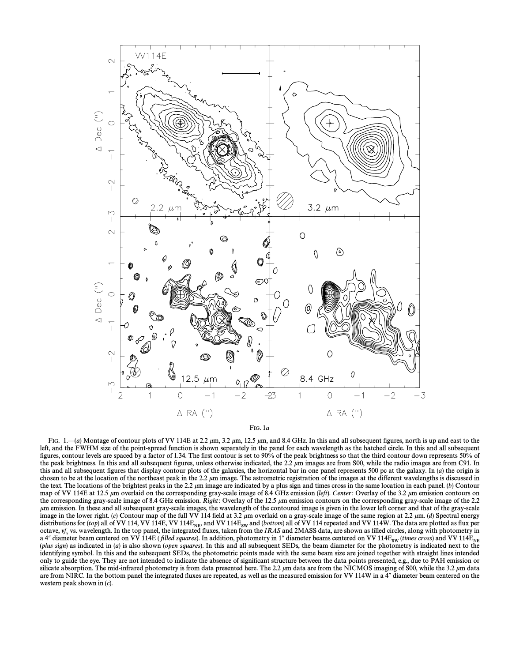

FIG. 1.—(a) Montage of contour plots of VV 114E at 2.2  $\mu$ m, 3.2  $\mu$ m, 12.5  $\mu$ m, and 8.4 GHz. In this and all subsequent figures, north is up and east to the left, and the FWHM size of the point-spread function is shown separately in the panel for each wavelength as the hatched circle. In this and all subsequent figures, contour levels are spaced by a factor of 1.34. The first contour is set to 90% of the peak brightness so that the third contour down represents 50% of the peak brightness. In this and all subsequent figures, unless otherwise indicated, the 2.2  $\mu$ m images are from S00, while the radio images are from C91. In this and all subsequent figures that display contour plots of the galaxies, the horizontal bar in one panel represents 500 pc at the galaxy. In  $(a)$  the origin is chosen to be at the location of the northeast peak in the 2.2  $\mu$ m image. The astrometric registration of the images at the different wavelengths is discussed in the text. The locations of the brightest peaks in the 2.2  $\mu$ m image are indicated by a plus sign and times cross in the same location in each panel. (b) Contour map of VV 114E at 12.5  $\mu$ m overlaid on the corresponding gray-scale image of 8.4 GHz emission (left). Center: Overlay of the 3.2  $\mu$ m emission contours on the corresponding gray-scale image of 8.4 GHz emission. Right: Overlay of the 12.5  $\mu$ m emission contours on the corresponding gray-scale image of the 2.2 um emission. In these and all subsequent gray-scale images, the wavelength of the contoured image is given in the lower left corner and that of the gray-scale image in the lower right. (c) Contour map of the full VV 114 field at 3.2  $\mu$ m overlaid on a gray-scale image of the same region at 2.2  $\mu$ m. (d) Spectral energy distributions for (top) all of VV 114, VV 114E, VV 114E, octave,  $vf_v$  vs. wavelength. In the top panel, the integrated fluxes, taken from the *IRAS* and 2MASS data, are shown as filled circles, along with photometry in a 4" diameter beam centered on VV 114E (*filled squares*). identifying symbol. In this and the subsequent SEDs, the photometric points made with the same beam size are joined together with straight lines intended only to guide the eye. They are not intended to indicate the absence of significant structure between the data points presented, e.g., due to PAH emission or silicate absorption. The mid-infrared photometry is from data presented here. The 2.2  $\mu$ m data are from the NICMOS imaging of S00, while the 3.2  $\mu$ m data are from NIRC. In the bottom panel the integrated fluxes are repeated, as well as the measured emission for VV 114W in a 4" diameter beam centered on the western peak shown in  $(c)$ .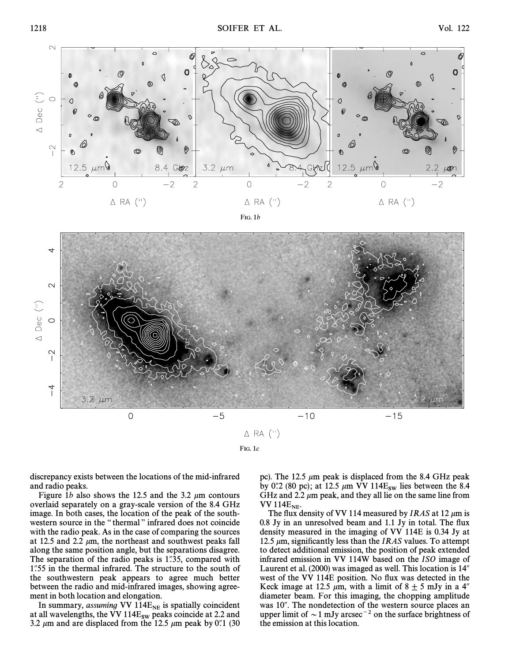

FIG. 1c

discrepancy exists between the locations of the mid-infrared and radio peaks.

Figure 1b also shows the 12.5 and the 3.2  $\mu$ m contours overlaid separately on a gray-scale version of the 8.4 GHz image. In both cases, the location of the peak of the southwestern source in the "thermal" infrared does not coincide with the radio peak. As in the case of comparing the sources at 12.5 and 2.2  $\mu$ m, the northeast and southwest peaks fall along the same position angle, but the separations disagree. The separation of the radio peaks is  $1\overset{1}{.}35$ , compared with 1.55 in the thermal infrared. The structure to the south of the southwestern peak appears to agree much better between the radio and mid-infrared images, showing agreement in both location and elongation.

In summary, *assuming* VV 114E<sub>NE</sub> is spatially coincident at all wavelengths, the VV 114E<sub>SW</sub> peaks coincide at 2.2 and 3.2  $\mu$ m and are displaced from the 12.5  $\mu$ m peak by 0. (30) pc). The 12.5  $\mu$ m peak is displaced from the 8.4 GHz peak by 0.'2 (80 pc); at 12.5  $\mu$ m VV 114E<sub>sw</sub> lies between the 8.4 GHz and 2.2  $\mu$ m peak, and they all lie on the same line from VV 114 $E_{NE}$ .

The flux density of VV 114 measured by *IRAS* at 12  $\mu$ m is 0.8 Jy in an unresolved beam and 1.1 Jy in total. The flux density measured in the imaging of VV 114E is 0.34 Jy at 12.5  $\mu$ m, significantly less than the IRAS values. To attempt to detect additional emission, the position of peak extended infrared emission in VV 114W based on the ISO image of Laurent et al.  $(2000)$  was imaged as well. This location is  $14<sup>7</sup>$ west of the VV 114E position. No flux was detected in the Keck image at 12.5  $\mu$ m, with a limit of 8  $\pm$  5 mJy in a 4<sup>"</sup> diameter beam. For this imaging, the chopping amplitude was  $10^{\circ}$ . The nondetection of the western source places an upper limit of  $\sim$  1 mJy arcsec<sup>-2</sup> on the surface brightness of the emission at this location.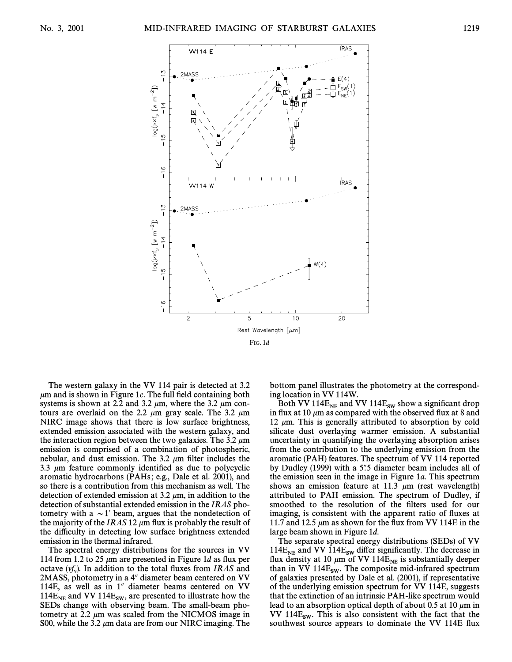

The western galaxy in the VV 114 pair is detected at 3.2  $\mu$ m and is shown in Figure 1c. The full field containing both systems is shown at 2.2 and 3.2  $\mu$ m, where the 3.2  $\mu$ m contours are overlaid on the 2.2  $\mu$ m gray scale. The 3.2  $\mu$ m NIRC image shows that there is low surface brightness, extended emission associated with the western galaxy, and the interaction region between the two galaxies. The 3.2  $\mu$ m emission is comprised of a combination of photospheric, nebular, and dust emission. The 3.2  $\mu$ m filter includes the 3.3  $\mu$ m feature commonly identified as due to polycyclic aromatic hydrocarbons (PAHs ; e.g., Dale et al. 2001), and so there is a contribution from this mechanism as well. The detection of extended emission at 3.2  $\mu$ m, in addition to the detection of substantial extended emission in the IRAS photometry with a  $\sim$  1' beam, argues that the nondetection of the majority of the IRAS 12  $\mu$ m flux is probably the result of the difficulty in detecting low surface brightness extended emission in the thermal infrared.

The spectral energy distributions for the sources in VV 114 from 1.2 to 25  $\mu$ m are presented in Figure 1d as flux per octave  $(y'_x)$ . In addition to the total fluxes from *IRAS* and  $2MASS$  photometry in a  $4''$  diameter beam centered on  $VV$ 2MASS, photometry in a 4" diameter beam centered on VV 114E, as well as in  $1$ " diameter beams centered on VV  $114E_{NE}$  and VV  $114E_{SW}$ , are presented to illustrate how the SEDs change with observing beam. The small-beam photometry at 2.2  $\mu$ m was scaled from the NICMOS image in S00, while the 3.2  $\mu$ m data are from our NIRC imaging. The bottom panel illustrates the photometry at the corresponding location in VV 114W.

Both VV 114 $E_{NE}$  and VV 114 $E_{SW}$  show a significant drop in flux at 10  $\mu$ m as compared with the observed flux at 8 and 12  $\mu$ m. This is generally attributed to absorption by cold silicate dust overlaying warmer emission. A substantial uncertainty in quantifying the overlaying absorption arises from the contribution to the underlying emission from the aromatic (PAH) features. The spectrum of VV 114 reported by Dudley (1999) with a  $5\%$  diameter beam includes all of the emission seen in the image in Figure 1a. This spectrum shows an emission feature at 11.3  $\mu$ m (rest wavelength) attributed to PAH emission. The spectrum of Dudley, if smoothed to the resolution of the filters used for our imaging, is consistent with the apparent ratio of Ñuxes at 11.7 and 12.5  $\mu$ m as shown for the flux from VV 114E in the large beam shown in Figure 1d.

The separate spectral energy distributions (SEDs) of VV 114E<sub>NE</sub> and VV 114E<sub>SW</sub> differ significantly. The decrease in flux density at 10  $\mu$ m of VV 114E<sub>NE</sub> is substantially deeper than in VV 114E<sub>SW</sub>. The composite mid-infrared spectrum of galaxies presented by Dale et al. (2001), if representative of the underlying emission spectrum for VV 114E, suggests that the extinction of an intrinsic PAH-like spectrum would lead to an absorption optical depth of about 0.5 at 10  $\mu$ m in VV  $114E<sub>sw</sub>$ . This is also consistent with the fact that the southwest source appears to dominate the VV 114E flux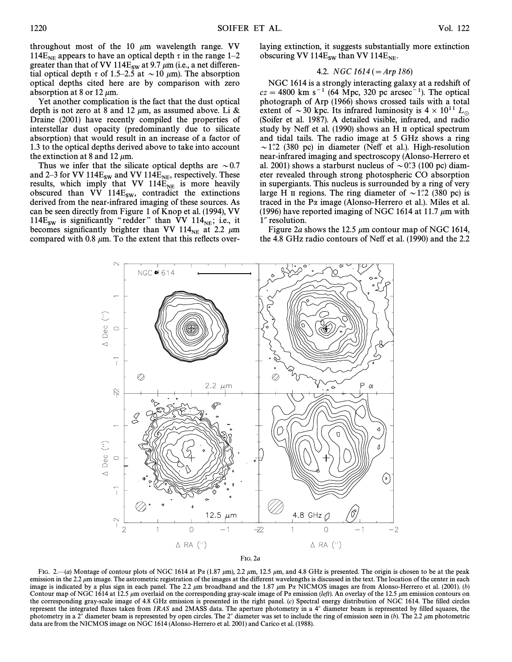throughout most of the 10  $\mu$ m wavelength range. VV 114E<sub>NE</sub> appears to have an optical depth  $\tau$  in the range 1–2 greater than that of VV 114E<sub>sw</sub> at 9.7  $\mu$ m (i.e., a net differential optical depth  $\tau$  of 1.5–2.5 at  $\sim$  10  $\mu$ m). The absorption optical depths cited here are by comparison with zero absorption at 8 or 12  $\mu$ m.

Yet another complication is the fact that the dust optical depth is not zero at 8 and 12  $\mu$ m, as assumed above. Li & Draine (2001) have recently compiled the properties of interstellar dust opacity (predominantly due to silicate absorption) that would result in an increase of a factor of 1.3 to the optical depths derived above to take into account the extinction at 8 and 12  $\mu$ m.

Thus we infer that the silicate optical depths are  $\sim 0.7$ and 2–3 for VV 114 $E_{SW}$  and VV 114 $E_{NE}$ , respectively. These results, which imply that VV  $114E_{NE}$  is more heavily obscured than VV  $114E_{SW}$ , contradict the extinctions derived from the near-infrared imaging of these sources. As can be seen directly from Figure 1 of Knop et al. (1994), VV 114E<sub>sw</sub> is significantly "redder" than VV 114<sub>NE</sub>; i.e., it becomes significantly brighter than VV 114 at 2.2 um becomes significantly brighter than VV 114 $_{NE}$  at 2.2  $\mu$ m compared with 0.8  $\mu$ m. To the extent that this reflects overlaying extinction, it suggests substantially more extinction obscuring VV  $114E_{SW}$  than VV  $114E_{NE}$ .

# 4.2. NGC  $1614 (= Arp 186)$

NGC 1614 is a strongly interacting galaxy at a redshift of  $cz = 4800$  km s<sup>-1</sup> (64 Mpc, 320 pc arcsec<sup>-1</sup>). The optical photograph of Arp (1966) shows crossed tails with a total extent of  $\sim$  30 kpc. Its infrared luminosity is 4  $\times$  10<sup>11</sup> L<sub>o</sub> (Soifer et al. 1987). A detailed visible, infrared, and radio study by Neff et al. (1990) shows an H II optical spectrum and tidal tails. The radio image at 5 GHz shows a ring  $\sim$ 1."2 (380 pc) in diameter (Neff et al.). High-resolution near-infrared imaging and spectroscopy (Alonso-Herrero et al. 2001) shows a starburst nucleus of  $\sim 0$ . (100 pc) diameter revealed through strong photospheric CO absorption in supergiants. This nucleus is surrounded by a ring of very large H II regions. The ring diameter of  $\sim$  1.72 (380 pc) is traced in the Pa image (Alonso-Herrero et al.). Miles et al. (1996) have reported imaging of NGC 1614 at 11.7  $\mu$ m with 1" resolution.

Figure 2a shows the 12.5  $\mu$ m contour map of NGC 1614, the 4.8 GHz radio contours of Neff et al. (1990) and the 2.2



FIG. 2—(a) Montage of contour plots of NGC 1614 at P $\alpha$  (1.87  $\mu$ m), 2.2  $\mu$ m, 12.5  $\mu$ m, and 4.8 GHz is presented. The origin is chosen to be at the peak emission in the 2.2  $\mu$ m image. The astrometric registration of the images at the different wavelengths is discussed in the text. The location of the center in each image is indicated by a plus sign in each panel. The 2.2  $\mu$ m broadband and the 1.87  $\mu$ m Pa NICMOS images are from Alonso-Herrero et al. (2001). (b) Contour map of NGC 1614 at 12.5  $\mu$ m overlaid on the corresponding gray-scale image of Pa emission (left). An overlay of the 12.5  $\mu$ m emission contours on the corresponding gray-scale image of 4.8 GHz emission is presented in the right panel. (c) Spectral energy distribution of NGC 1614. The filled circles represent the integrated fluxes taken from IRAS and 2MASS data. The aperture photometry in a 4" diameter beam is represented by filled squares, the photometry in a 2" diameter beam is represented by open circles. The 2" diameter was set to include the ring of emission seen in  $(b)$ . The 2.2  $\mu$ m photometric data are from the NICMOS image on NGC 1614 (Alonso-Herrero et al. 2001) and Carico et al. (1988).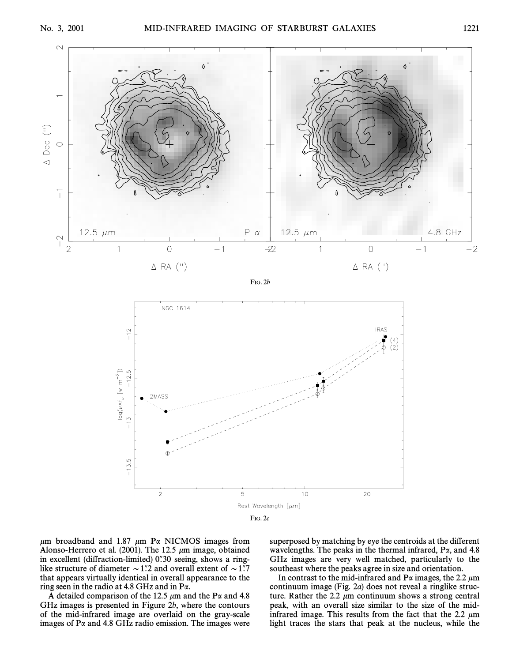

FIG. 2b



 $\mu$ m broadband and 1.87  $\mu$ m P $\alpha$  NICMOS images from Alonso-Herrero et al. (2001). The 12.5  $\mu$ m image, obtained in excellent (diffraction-limited)  $0$ . 30 seeing, shows a ringlike structure of diameter  $\sim$  1.7 and overall extent of  $\sim$  1.7 that appears virtually identical in overall appearance to the ring seen in the radio at 4.8 GHz and in Pa.

A detailed comparison of the 12.5  $\mu$ m and the P $\alpha$  and 4.8 GHz images is presented in Figure 2b, where the contours of the mid-infrared image are overlaid on the gray-scale images of  $Pa$  and 4.8 GHz radio emission. The images were superposed by matching by eye the centroids at the different wavelengths. The peaks in the thermal infrared,  $P\alpha$ , and 4.8 GHz images are very well matched, particularly to the southeast where the peaks agree in size and orientation.

In contrast to the mid-infrared and  $P\alpha$  images, the 2.2  $\mu$ m continuum image (Fig. 2a) does not reveal a ringlike structure. Rather the 2.2  $\mu$ m continuum shows a strong central peak, with an overall size similar to the size of the midinfrared image. This results from the fact that the 2.2  $\mu$ m light traces the stars that peak at the nucleus, while the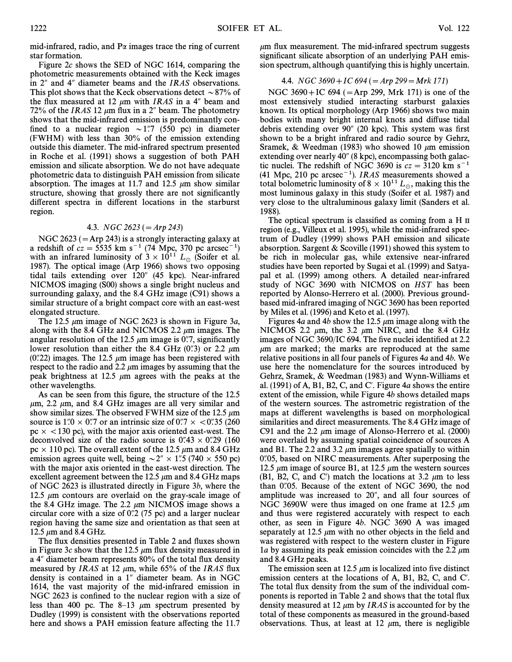mid-infrared, radio, and  $P\alpha$  images trace the ring of current star formation.

Figure 2c shows the SED of NGC 1614, comparing the photometric measurements obtained with the Keck images in  $2^{\prime\prime}$  and 4 $^{\prime\prime}$  diameter beams and the IRAS observations. This plot shows that the Keck observations detect  $\sim$  87% of the flux measured at 12  $\mu$ m with IRAS in a 4" beam and 72% of the IRAS 12  $\mu$ m flux in a 2" beam. The photometry shows that the mid-infrared emission is predominantly confined to a nuclear region  $\sim 1\rlap{.}^{\prime\prime}$  (550 pc) in diameter (FWHM) with less than 30% of the emission extending outside this diameter. The mid-infrared spectrum presented in Roche et al. (1991) shows a suggestion of both PAH emission and silicate absorption. We do not have adequate photometric data to distinguish PAH emission from silicate absorption. The images at 11.7 and 12.5  $\mu$ m show similar structure, showing that grossly there are not significantly different spectra in different locations in the starburst region.

# 4.3. NGC 2623 ( $=$ Arp 243)

NGC 2623 ( $=$ Arp 243) is a strongly interacting galaxy at a redshift of  $cz = 5535$  km s<sup>-1</sup> (74 Mpc, 370 pc arcsec<sup>-1</sup>) with an infrared luminosity of  $3 \times 10^{11}$  L<sub>o</sub> (Soifer et al. 1987). The optical image (Arp 1966) shows two opposing tidal tails extending over  $120''$  (45 kpc). Near-infrared NICMOS imaging (S00) shows a single bright nucleus and surrounding galaxy, and the 8.4 GHz image (C91) shows a similar structure of a bright compact core with an east-west elongated structure.

The 12.5  $\mu$ m image of NGC 2623 is shown in Figure 3a, along with the 8.4 GHz and NICMOS 2.2  $\mu$ m images. The angular resolution of the 12.5  $\mu$ m image is 0.7, significantly lower resolution than either the 8.4 GHz  $(0\degree, 3)$  or 2.2  $\mu$ m (0.722) images. The 12.5  $\mu$ m image has been registered with respect to the radio and 2.2  $\mu$ m images by assuming that the peak brightness at 12.5  $\mu$ m agrees with the peaks at the other wavelengths.

As can be seen from this figure, the structure of the 12.5  $\mu$ m, 2.2  $\mu$ m, and 8.4 GHz images are all very similar and show similar sizes. The observed FWHM size of the 12.5  $\mu$ m source is 1.0  $\times$  0.7 or an intrinsic size of 0.7  $\times$  <0.35 (260) pc  $\times$  <130 pc), with the major axis oriented east-west. The deconvolved size of the radio source is  $0.43 \times 0.29$  (160 pc  $\times$  110 pc). The overall extent of the 12.5  $\mu$ m and 8.4 GHz emission agrees quite well, being  $\sim 2'' \times 1''$ .5 (740  $\times$  550 pc) with the major axis oriented in the east-west direction. The excellent agreement between the 12.5  $\mu$ m and 8.4 GHz maps of NGC 2623 is illustrated directly in Figure 3b, where the 12.5  $\mu$ m contours are overlaid on the gray-scale image of the 8.4 GHz image. The 2.2  $\mu$ m NICMOS image shows a circular core with a size of  $0\rlap.{''}2$  (75 pc) and a larger nuclear region having the same size and orientation as that seen at 12.5  $\mu$ m and 8.4 GHz.

The flux densities presented in Table 2 and fluxes shown in Figure 3c show that the 12.5  $\mu$ m flux density measured in a  $4$ " diameter beam represents  $80\%$  of the total flux density measured by *IRAS* at 12  $\mu$ m, while 65% of the *IRAS* flux density is contained in a  $1$ " diameter beam. As in NGC 1614, the vast majority of the mid-infrared emission in NGC 2623 is confined to the nuclear region with a size of less than 400 pc. The 8–13  $\mu$ m spectrum presented by Dudley (1999) is consistent with the observations reported here and shows a PAH emission feature affecting the 11.7  $\mu$ m flux measurement. The mid-infrared spectrum suggests significant silicate absorption of an underlying PAH emission spectrum, although quantifying this is highly uncertain.

# 4.4. NGC 3690 + IC 694 ( $=$  Arp 299  $=$  Mrk 171)

NGC 3690+IC 694 ( $=$ Arp 299, Mrk 171) is one of the most extensively studied interacting starburst galaxies known. Its optical morphology (Arp 1966) shows two main bodies with many bright internal knots and diffuse tidal debris extending over  $90''$  (20 kpc). This system was first shown to be a bright infrared and radio source by Gehrz, Sramek, & Weedman (1983) who showed 10  $\mu$ m emission extending over nearly  $40^{\prime\prime}$  (8 kpc), encompassing both galactic nuclei. The redshift of NGC 3690 is  $cz = 3120$  km s<sup>-1</sup> (41 Mpc, 210 pc arcsec<sup>-1</sup>). *IRAS* measurements showed a total bolometric luminosity of  $8 \times 10^{11} L_{\odot}$ , making this the most luminous galaxy in this study (Soifer et al. 1987) and very close to the ultraluminous galaxy limit (Sanders et al. 1988).

The optical spectrum is classified as coming from a H  $\scriptstyle\rm II$ region (e.g., Villeux et al. 1995), while the mid-infrared spectrum of Dudley (1999) shows PAH emission and silicate absorption. Sargent & Scoville (1991) showed this system to be rich in molecular gas, while extensive near-infrared studies have been reported by Sugai et al. (1999) and Satyapal et al. (1999) among others. A detailed near-infrared study of NGC 3690 with NICMOS on HST has been reported by Alonso-Herrero et al. (2000). Previous groundbased mid-infrared imaging of NGC 3690 has been reported by Miles et al. (1996) and Keto et al. (1997).

Figures 4a and 4b show the 12.5  $\mu$ m image along with the NICMOS 2.2  $\mu$ m, the 3.2  $\mu$ m NIRC, and the 8.4 GHz images of NGC 3690/IC 694. The five nuclei identified at 2.2  $\mu$ m are marked; the marks are reproduced at the same relative positions in all four panels of Figures 4a and 4b. We use here the nomenclature for the sources introduced by Gehrz, Sramek, & Weedman (1983) and Wynn-Williams et al. (1991) of A, B1, B2, C, and C'. Figure 4a shows the entire extent of the emission, while Figure 4b shows detailed maps of the western sources. The astrometric registration of the maps at different wavelengths is based on morphological similarities and direct measurements. The 8.4 GHz image of C91 and the 2.2  $\mu$ m image of Alonso-Herrero et al. (2000) were overlaid by assuming spatial coincidence of sources A and B1. The 2.2 and 3.2  $\mu$ m images agree spatially to within  $0$ .  $0.05$ , based on NIRC measurements. After superposing the 12.5  $\mu$ m image of source B1, at 12.5  $\mu$ m the western sources (B1, B2, C, and C') match the locations at 3.2  $\mu$ m to less than  $0\rlap.{''}05$ . Because of the extent of NGC 3690, the nod amplitude was increased to 20", and all four sources of NGC 3690W were thus imaged on one frame at 12.5  $\mu$ m and thus were registered accurately with respect to each other, as seen in Figure 4b. NGC 3690 A was imaged separately at 12.5  $\mu$ m with no other objects in the field and was registered with respect to the western cluster in Figure 1a by assuming its peak emission coincides with the 2.2  $\mu$ m and 8.4 GHz peaks.

The emission seen at 12.5  $\mu$ m is localized into five distinct emission centers at the locations of A, B1, B2, C, and C'. The total flux density from the sum of the individual components is reported in Table 2 and shows that the total flux density measured at 12  $\mu$ m by *IRAS* is accounted for by the total of these components as measured in the ground-based observations. Thus, at least at 12  $\mu$ m, there is negligible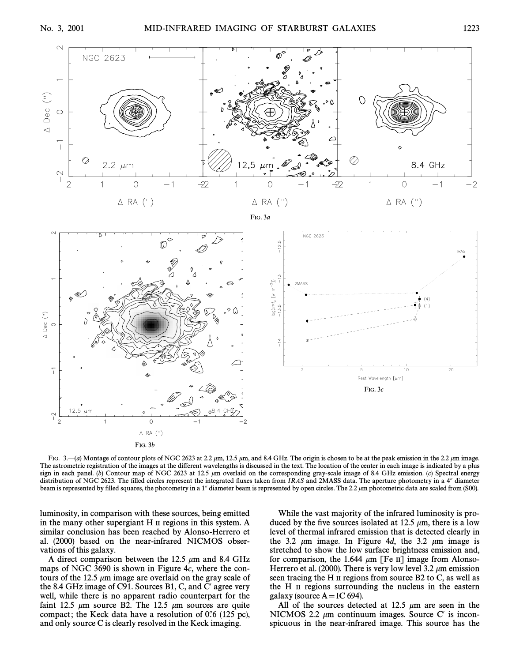



FIG. 3.—(a) Montage of contour plots of NGC 2623 at 2.2  $\mu$ m, 12.5  $\mu$ m, and 8.4 GHz. The origin is chosen to be at the peak emission in the 2.2  $\mu$ m image. The astrometric registration of the images at the different wavelengths is discussed in the text. The location of the center in each image is indicated by a plus sign in each panel. (b) Contour map of NGC 2623 at 12.5  $\mu$ m overlaid on the corresponding gray-scale image of 8.4 GHz emission. (c) Spectral energy distribution of NGC 2623. The filled circles represent the integrated fluxes taken from  $IRAS$  and 2MASS data. The aperture photometry in a  $4<sup>n</sup>$  diameter beam is represented by filled squares, the photometry in a 1" diameter beam is represented by open circles. The 2.2  $\mu$ m photometric data are scaled from (S00).

luminosity, in comparison with these sources, being emitted in the many other supergiant H II regions in this system. A similar conclusion has been reached by Alonso-Herrero et al. (2000) based on the near-infrared NICMOS observations of this galaxy.

A direct comparison between the 12.5  $\mu$ m and 8.4 GHz maps of NGC 3690 is shown in Figure 4c, where the contours of the 12.5  $\mu$ m image are overlaid on the gray scale of the 8.4 GHz image of C91. Sources B1, C, and C' agree very well, while there is no apparent radio counterpart for the faint 12.5  $\mu$ m source B2. The 12.5  $\mu$ m sources are quite compact; the Keck data have a resolution of  $0\rlap.{''}6$  (125 pc), and only source C is clearly resolved in the Keck imaging.

While the vast majority of the infrared luminosity is produced by the five sources isolated at 12.5  $\mu$ m, there is a low level of thermal infrared emission that is detected clearly in the 3.2  $\mu$ m image. In Figure 4d, the 3.2  $\mu$ m image is stretched to show the low surface brightness emission and, for comparison, the 1.644  $\mu$ m [Fe II] image from Alonso-Herrero et al. (2000). There is very low level 3.2  $\mu$ m emission seen tracing the H II regions from source B2 to C, as well as the H II regions surrounding the nucleus in the eastern galaxy (source  $A = IC 694$ ).

All of the sources detected at 12.5  $\mu$ m are seen in the NICMOS 2.2  $\mu$ m continuum images. Source C' is inconspicuous in the near-infrared image. This source has the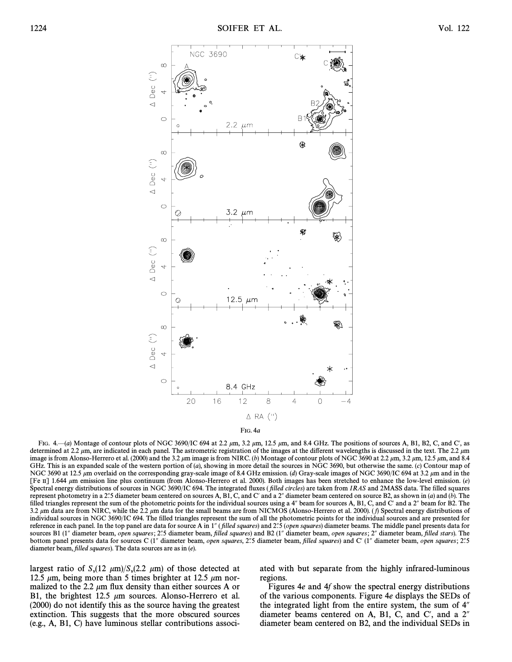



FIG.  $4-(a)$  Montage of contour plots of NGC 3690/IC 694 at 2.2  $\mu$ m, 3.2  $\mu$ m, 12.5  $\mu$ m, and 8.4 GHz. The positions of sources A, B1, B2, C, and C', as determined at 2.2  $\mu$ m, are indicated in each panel. The astrometric registration of the images at the different wavelengths is discussed in the text. The 2.2  $\mu$ m image is from Alonso-Herrero et al. (2000) and the 3.2  $\mu$ m image is from NIRC. (b) Montage of contour plots of NGC 3690 at 2.2  $\mu$ m, 3.2  $\mu$ m, 12.5  $\mu$ m, and 8.4 GHz. This is an expanded scale of the western portion of (a), showing in more detail the sources in NGC 3690, but otherwise the same. (c) Contour map of NGC 3690 at 12.5  $\mu$ m overlaid on the corresponding gray-scale image of 8.4 GHz emission. (d) Gray-scale images of NGC 3690/IC 694 at 3.2  $\mu$ m and in the [Fe II] 1.644  $\mu$ m emission line plus continuum (from Alonso-Herrero et al. 2000). Both images has been stretched to enhance the low-level emission. (e) Spectral energy distributions of sources in NGC 3690/IC 694. The integrated fluxes (filled circles) are taken from IRAS and 2MASS data. The filled squares represent photometry in a 2".5 diameter beam centered on sources A, B1, C, and C' and a 2" diameter beam centered on source B2, as shown in (a) and (b). The filled triangles represent the sum of the photometric points for the individual sources using a 4" beam for sources A, B1, C, and C' and a 2" beam for B2. The 3.2  $\mu$ m data are from NIRC, while the 2.2  $\mu$ m data for the small beams are from NICMOS (Alonso-Herrero et al. 2000). (*f*) Spectral energy distributions of individual sources in NGC 3690/IC 694. The filled triangles represent the sum of all the photometric points for the individual sources and are presented for reference in each panel. In the top panel are data for source A in 1" (filled squares) and 2"5 (open squares) diameter beams. The middle panel presents data for sources B1 (1" diameter beam, open squares; 2".5 diameter beam, filled squares) and B2 (1" diameter beam, open squares; 2" diameter beam, filled stars). The bottom panel presents data for sources C (1" diameter beam, open squares, 2"5 diameter beam, filled squares) and C' (1" diameter beam, open squares; 2"5 diameter beam, filled squares). The data sources are as in  $(e)$ .

largest ratio of  $S_v(12 \mu m)/S_v(2.2 \mu m)$  of those detected at 12.5 km hor-<br>12.5 km being more than 5 times brighter at 12.5 km nor-12.5  $\mu$ m, being more than 5 times brighter at 12.5  $\mu$ m normalized to the 2.2  $\mu$ m flux density than either sources A or B1, the brightest 12.5  $\mu$ m sources. Alonso-Herrero et al. (2000) do not identify this as the source having the greatest extinction. This suggests that the more obscured sources (e.g., A, B1, C) have luminous stellar contributions associated with but separate from the highly infrared-luminous regions.

Figures 4e and 4f show the spectral energy distributions of the various components. Figure 4e displays the SEDs of the integrated light from the entire system, the sum of  $4<sup>n</sup>$ diameter beams centered on A, B1, C, and C', and a  $2<sup>n</sup>$ diameter beam centered on B2, and the individual SEDs in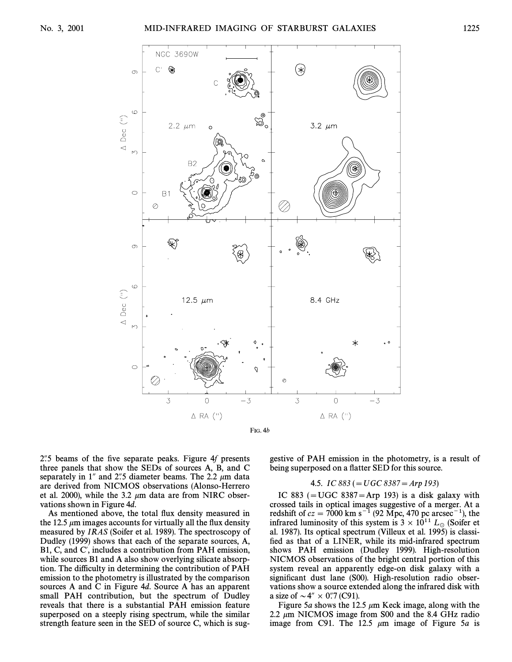

 $2.5$  beams of the five separate peaks. Figure 4f presents three panels that show the SEDs of sources A, B, and C separately in 1" and 2".5 diameter beams. The 2.2  $\mu$ m data are derived from NICMOS observations (Alonso-Herrero et al. 2000), while the 3.2  $\mu$ m data are from NIRC observations shown in Figure 4d.

As mentioned above, the total flux density measured in the 12.5  $\mu$ m images accounts for virtually all the flux density measured by IRAS (Soifer et al. 1989). The spectroscopy of Dudley (1999) shows that each of the separate sources, A, B1, C, and C', includes a contribution from PAH emission, while sources B1 and A also show overlying silicate absorption. The difficulty in determining the contribution of PAH emission to the photometry is illustrated by the comparison sources A and C in Figure 4d. Source A has an apparent small PAH contribution, but the spectrum of Dudley reveals that there is a substantial PAH emission feature superposed on a steeply rising spectrum, while the similar strength feature seen in the SED of source C, which is suggestive of PAH emission in the photometry, is a result of being superposed on a flatter SED for this source.

#### 4.5. IC 883 ( $= UGC$  8387 $=$  Arp 193)

IC 883 ( $=$  UGC 8387 $=$ Arp 193) is a disk galaxy with crossed tails in optical images suggestive of a merger. At a redshift of  $cz = 7000$  km s<sup>-1</sup> (92 Mpc, 470 pc arcsec<sup>-1</sup>), the infrared luminosity of this system is  $3 \times 10^{11}$  L<sub>o</sub> (Soifer et al. 1987). Its optical spectrum (Villeux et al. 1995) is classified as that of a LINER, while its mid-infrared spectrum shows PAH emission (Dudley 1999). High-resolution NICMOS observations of the bright central portion of this system reveal an apparently edge-on disk galaxy with a significant dust lane (S00). High-resolution radio observations show a source extended along the infrared disk with a size of  $\sim 4'' \times 0''$ .7 (C91).

Figure 5a shows the 12.5  $\mu$ m Keck image, along with the 2.2  $\mu$ m NICMOS image from S00 and the 8.4 GHz radio image from C91. The 12.5  $\mu$ m image of Figure 5*a* is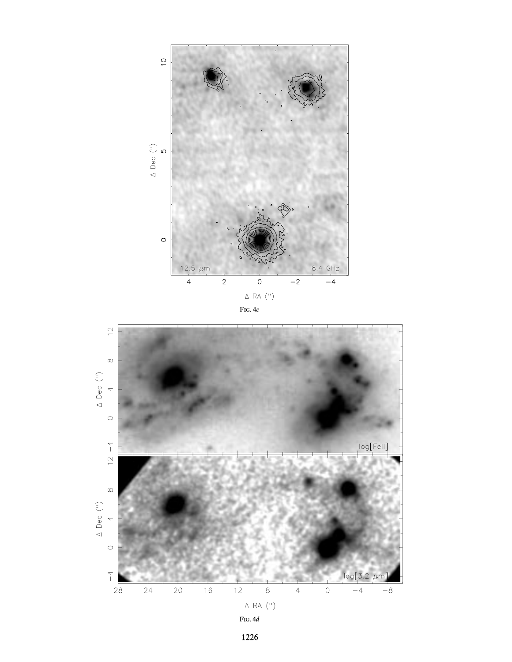



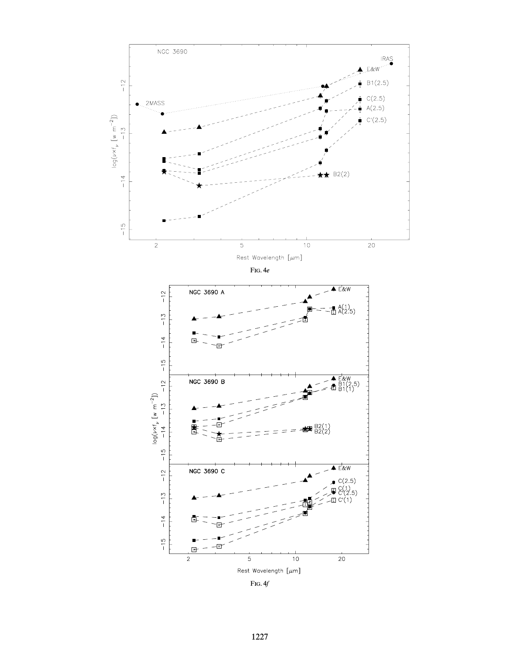

FIG. 4f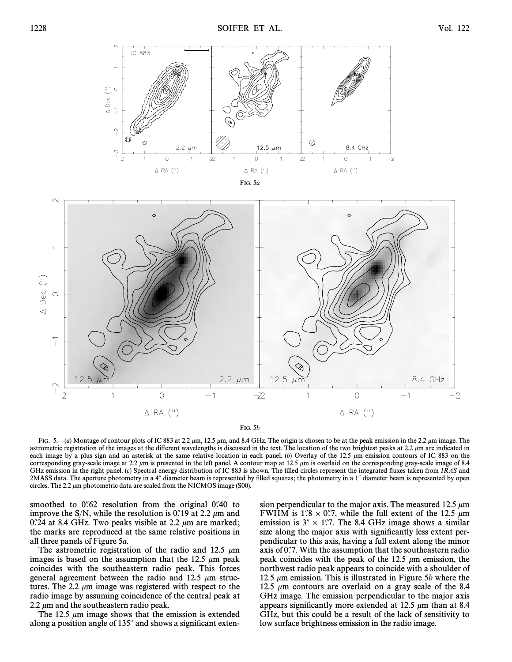

FIG. 5b

FIG.  $5-(a)$  Montage of contour plots of IC 883 at 2.2  $\mu$ m, 12.5  $\mu$ m, and 8.4 GHz. The origin is chosen to be at the peak emission in the 2.2  $\mu$ m image. The astrometric registration of the images at the different wavelengths is discussed in the text. The location of the two brightest peaks at  $2.2 \mu m$  are indicated in each image by a plus sign and an asterisk at the same relative location in each panel. (b) Overlay of the 12.5  $\mu$ m emission contours of IC 883 on the corresponding gray-scale image at 2.2  $\mu$ m is presented in the left panel. A contour map at 12.5  $\mu$ m is overlaid on the corresponding gray-scale image of 8.4 GHz emission in the right panel. (c) Spectral energy distribution of IC 883 is shown. The filled circles represent the integrated fluxes taken from IRAS and 2MASS data. The aperture photometry in a 4" diameter beam is represented by filled squares; the photometry in a 1" diameter beam is represented by open circles. The 2.2  $\mu$ m photometric data are scaled from the NICMOS image (S00).

smoothed to  $0.62$  resolution from the original  $0.40$  to improve the S/N, while the resolution is 0.4 a.19 at 2.2  $\mu$ m and 0.'24 at 8.4 GHz. Two peaks visible at 2.2  $\mu$ m are marked; the marks are reproduced at the same relative positions in all three panels of Figure 5a.

The astrometric registration of the radio and 12.5  $\mu$ m images is based on the assumption that the 12.5  $\mu$ m peak coincides with the southeastern radio peak. This forces general agreement between the radio and 12.5  $\mu$ m structures. The 2.2  $\mu$ m image was registered with respect to the radio image by assuming coincidence of the central peak at 2.2  $\mu$ m and the southeastern radio peak.

The 12.5  $\mu$ m image shows that the emission is extended along a position angle of  $135^\circ$  and shows a significant extension perpendicular to the major axis. The measured 12.5  $\mu$ m FWHM is 1.78  $\times$  0.77, while the full extent of the 12.5  $\mu$ m emission is  $3'' \times 1''$ . The 8.4 GHz image shows a similar size along the major axis with significantly less extent perpendicular to this axis, having a full extent along the minor axis of  $0$ .7. With the assumption that the southeastern radio peak coincides with the peak of the 12.5  $\mu$ m emission, the northwest radio peak appears to coincide with a shoulder of 12.5  $\mu$ m emission. This is illustrated in Figure 5b where the 12.5  $\mu$ m contours are overlaid on a gray scale of the 8.4 GHz image. The emission perpendicular to the major axis appears significantly more extended at 12.5  $\mu$ m than at 8.4 GHz, but this could be a result of the lack of sensitivity to low surface brightness emission in the radio image.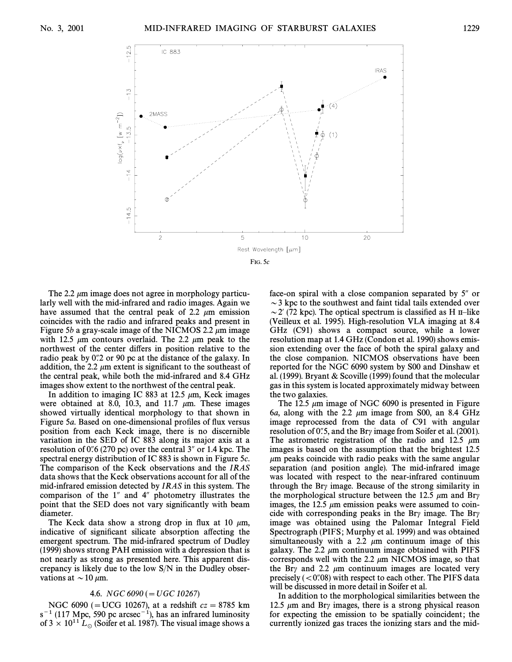

The 2.2  $\mu$ m image does not agree in morphology particularly well with the mid-infrared and radio images. Again we have assumed that the central peak of 2.2  $\mu$ m emission coincides with the radio and infrared peaks and present in Figure 5b a gray-scale image of the NICMOS 2.2  $\mu$ m image with 12.5  $\mu$ m contours overlaid. The 2.2  $\mu$ m peak to the northwest of the center differs in position relative to the radio peak by 0. 2 or 90 pc at the distance of the galaxy. In addition, the 2.2  $\mu$ m extent is significant to the southeast of the central peak, while both the mid-infrared and 8.4 GHz images show extent to the northwest of the central peak.

In addition to imaging IC 883 at 12.5  $\mu$ m, Keck images were obtained at 8.0, 10.3, and 11.7  $\mu$ m. These images showed virtually identical morphology to that shown in Figure 5a. Based on one-dimensional profiles of flux versus position from each Keck image, there is no discernible variation in the SED of IC 883 along its major axis at a resolution of  $0\degree 6$  (270 pc) over the central 3<sup> $\degree$ </sup> or 1.4 kpc. The spectral energy distribution of IC 883 is shown in Figure 5c. The comparison of the Keck observations and the IRAS data shows that the Keck observations account for all of the mid-infrared emission detected by IRAS in this system. The comparison of the  $1^{\prime\prime}$  and  $4^{\prime\prime}$  photometry illustrates the point that the SED does not vary significantly with beam diameter.

The Keck data show a strong drop in flux at 10  $\mu$ m, indicative of significant silicate absorption affecting the emergent spectrum. The mid-infrared spectrum of Dudley (1999) shows strong PAH emission with a depression that is not nearly as strong as presented here. This apparent discrepancy is likely due to the low S/N in the Dudley observations at  $\sim$  10  $\mu$ m.

#### 4.6. NGC 6090 ( $=$  UGC 10267)

NGC 6090 (= UCG 10267), at a redshift  $cz = 8785$  km  $s^{-1}$  (117 Mpc, 590 pc arcsec<sup>-1</sup>), has an infrared luminosity of 3  $\times$  10<sup>11</sup> L<sub>o</sub> (Soifer et al. 1987). The visual image shows a face-on spiral with a close companion separated by 5" or  $\sim$  3 kpc to the southwest and faint tidal tails extended over  $\sim$  2' (72 kpc). The optical spectrum is classified as H II-like (Veilleux et al. 1995). High-resolution VLA imaging at 8.4 GHz (C91) shows a compact source, while a lower resolution map at 1.4 GHz (Condon et al. 1990) shows emission extending over the face of both the spiral galaxy and the close companion. NICMOS observations have been reported for the NGC 6090 system by S00 and Dinshaw et al. (1999). Bryant & Scoville (1999) found that the molecular gas in this system is located approximately midway between the two galaxies.

The 12.5  $\mu$ m image of NGC 6090 is presented in Figure 6a, along with the 2.2  $\mu$ m image from S00, an 8.4 GHz image reprocessed from the data of C91 with angular resolution of 0.5, and the Bry image from Soifer et al. (2001). The astrometric registration of the radio and 12.5  $\mu$ m images is based on the assumption that the brightest 12.5  $\mu$ m peaks coincide with radio peaks with the same angular separation (and position angle). The mid-infrared image was located with respect to the near-infrared continuum through the Br $\gamma$  image. Because of the strong similarity in the morphological structure between the 12.5  $\mu$ m and Br $\gamma$ images, the 12.5  $\mu$ m emission peaks were assumed to coincide with corresponding peaks in the Bry image. The Bry image was obtained using the Palomar Integral Field Spectrograph (PIFS; Murphy et al. 1999) and was obtained simultaneously with a 2.2  $\mu$ m continuum image of this galaxy. The 2.2  $\mu$ m continuum image obtained with PIFS corresponds well with the 2.2  $\mu$ m NICMOS image, so that the Br<sub>y</sub> and 2.2  $\mu$ m continuum images are located very precisely  $( $0\degree/08$ )$  with respect to each other. The PIFS data will be discussed in more detail in Soifer et al.

In addition to the morphological similarities between the 12.5  $\mu$ m and Bry images, there is a strong physical reason for expecting the emission to be spatially coincident; the currently ionized gas traces the ionizing stars and the mid-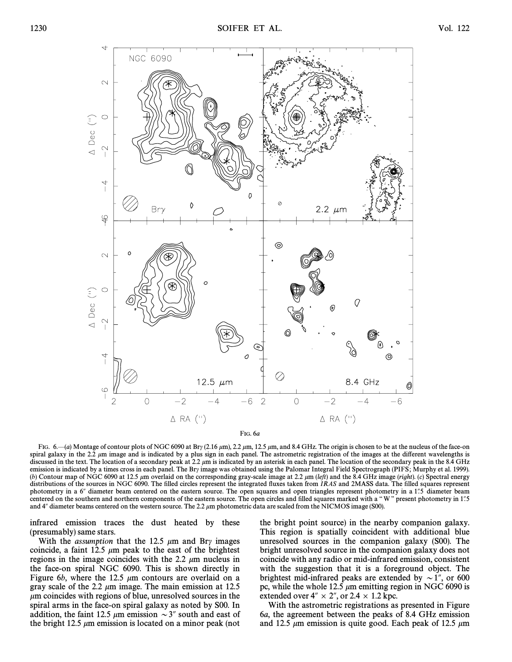

FIG.  $6-(a)$  Montage of contour plots of NGC 6090 at Br<sub>y</sub> (2.16  $\mu$ m), 2.2  $\mu$ m, 12.5  $\mu$ m, and 8.4 GHz. The origin is chosen to be at the nucleus of the face-on spiral galaxy in the 2.2  $\mu$ m image and is indicated by a plus sign in each panel. The astrometric registration of the images at the different wavelengths is discussed in the text. The location of a secondary peak at 2.2  $\mu$ m is indicated by an asterisk in each panel. The location of the secondary peak in the 8.4 GHz emission is indicated by a times cross in each panel. The Bry image was obtained using the Palomar Integral Field Spectrograph (PIFS; Murphy et al. 1999). (b) Contour map of NGC 6090 at 12.5  $\mu$ m overlaid on the corresponding gray-scale image at 2.2  $\mu$ m (left) and the 8.4 GHz image (right). (c) Spectral energy distributions of the sources in NGC 6090. The filled circles represent the integrated fluxes taken from IRAS and 2MASS data. The filled squares represent photometry in a 6" diameter beam centered on the eastern source. The open squares and open triangles represent photometry in a 1<sup>75</sup> diameter beam centered on the southern and northern components of the eastern source. The open circles and filled squares marked with a "W" present photometry in 1"5 and  $4''$  diameter beams centered on the western source. The 2.2  $\mu$ m photometric data are scaled from the NICMOS image (S00).

infrared emission traces the dust heated by these (presumably) same stars.

With the *assumption* that the 12.5  $\mu$ m and Bry images coincide, a faint 12.5  $\mu$ m peak to the east of the brightest regions in the image coincides with the 2.2  $\mu$ m nucleus in the face-on spiral NGC 6090. This is shown directly in Figure 6b, where the 12.5  $\mu$ m contours are overlaid on a gray scale of the 2.2  $\mu$ m image. The main emission at 12.5  $\mu$ m coincides with regions of blue, unresolved sources in the spiral arms in the face-on spiral galaxy as noted by S00. In addition, the faint 12.5  $\mu$ m emission  $\sim$ 3" south and east of the bright 12.5  $\mu$ m emission is located on a minor peak (not the bright point source) in the nearby companion galaxy. This region is spatially coincident with additional blue unresolved sources in the companion galaxy (S00). The bright unresolved source in the companion galaxy does not coincide with any radio or mid-infrared emission, consistent with the suggestion that it is a foreground object. The brightest mid-infrared peaks are extended by  $\sim$  1", or 600 pc, while the whole 12.5  $\mu$ m emitting region in NGC 6090 is extended over  $4'' \times 2''$ , or 2.4  $\times$  1.2 kpc.

With the astrometric registrations as presented in Figure 6a, the agreement between the peaks of 8.4 GHz emission and 12.5  $\mu$ m emission is quite good. Each peak of 12.5  $\mu$ m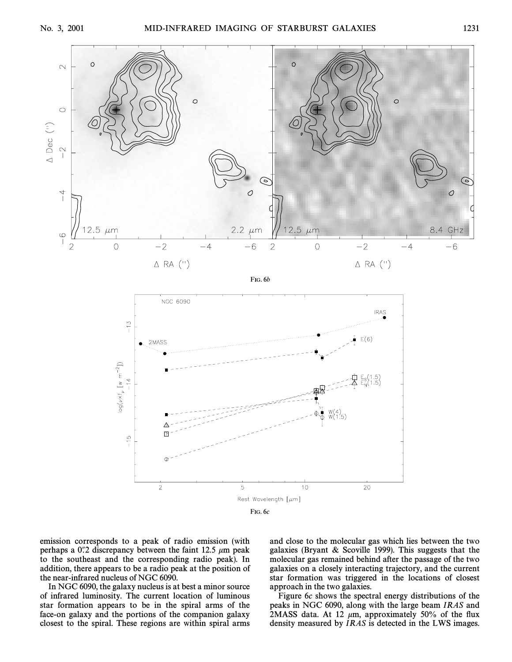

emission corresponds to a peak of radio emission (with perhaps a 0.2 discrepancy between the faint 12.5  $\mu$ m peak. to the southeast and the corresponding radio peak). In addition, there appears to be a radio peak at the position of the near-infrared nucleus of NGC 6090.

In NGC 6090, the galaxy nucleus is at best a minor source of infrared luminosity. The current location of luminous star formation appears to be in the spiral arms of the face-on galaxy and the portions of the companion galaxy closest to the spiral. These regions are within spiral arms and close to the molecular gas which lies between the two galaxies (Bryant & Scoville 1999). This suggests that the molecular gas remained behind after the passage of the two galaxies on a closely interacting trajectory, and the current star formation was triggered in the locations of closest approach in the two galaxies.

Figure 6c shows the spectral energy distributions of the peaks in NGC 6090, along with the large beam IRAS and 2MASS data. At 12  $\mu$ m, approximately 50% of the flux density measured by IRAS is detected in the LWS images.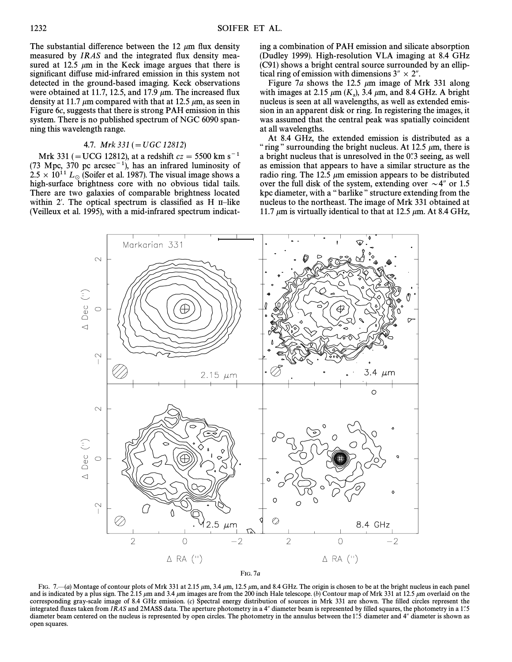The substantial difference between the 12  $\mu$ m flux density measured by IRAS and the integrated flux density measured at 12.5  $\mu$ m in the Keck image argues that there is significant diffuse mid-infrared emission in this system not detected in the ground-based imaging. Keck observations were obtained at 11.7, 12.5, and 17.9  $\mu$ m. The increased flux density at 11.7  $\mu$ m compared with that at 12.5  $\mu$ m, as seen in Figure 6c, suggests that there is strong PAH emission in this system. There is no published spectrum of NGC 6090 spanning this wavelength range.

### 4.7. Mrk  $331 (= UGC 12812)$

Mrk 331 (= UCG 12812), at a redshift  $cz = 5500$  km s<sup>-1</sup> (73 Mpc, 370 pc arcsec<sup>-1</sup>), has an infrared luminosity of  $2.5 \times 10^{11} L_{\odot}$  (Soifer et al. 1987). The visual image shows a high-surface brightness core with no obvious tidal tails. There are two galaxies of comparable brightness located within 2'. The optical spectrum is classified as H II-like (Veilleux et al. 1995), with a mid-infrared spectrum indicating a combination of PAH emission and silicate absorption (Dudley 1999). High-resolution VLA imaging at 8.4 GHz (C91) shows a bright central source surrounded by an elliptical ring of emission with dimensions  $3'' \times 2''$ .

Figure 7a shows the 12.5  $\mu$ m image of Mrk 331 along with images at 2.15  $\mu$ m ( $K_s$ ), 3.4  $\mu$ m, and 8.4 GHz. A bright pucking is seen at all wavelengths, as well as extended emisnucleus is seen at all wavelengths, as well as extended emission in an apparent disk or ring. In registering the images, it was assumed that the central peak was spatially coincident at all wavelengths.

At 8.4 GHz, the extended emission is distributed as a " ring" surrounding the bright nucleus. At 12.5  $\mu$ m, there is a bright nucleus that is unresolved in the 0.3 seeing, as well as emission that appears to have a similar structure as the radio ring. The 12.5  $\mu$ m emission appears to be distributed over the full disk of the system, extending over  $\sim$  4" or 1.5 kpc diameter, with a "barlike" structure extending from the nucleus to the northeast. The image of Mrk 331 obtained at 11.7  $\mu$ m is virtually identical to that at 12.5  $\mu$ m. At 8.4 GHz,



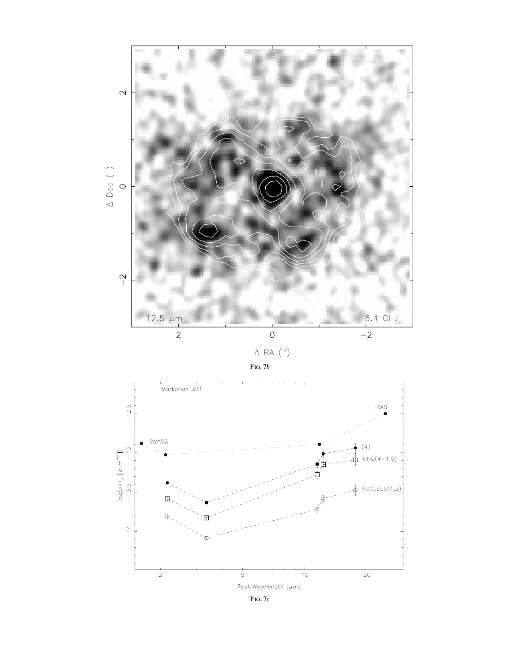



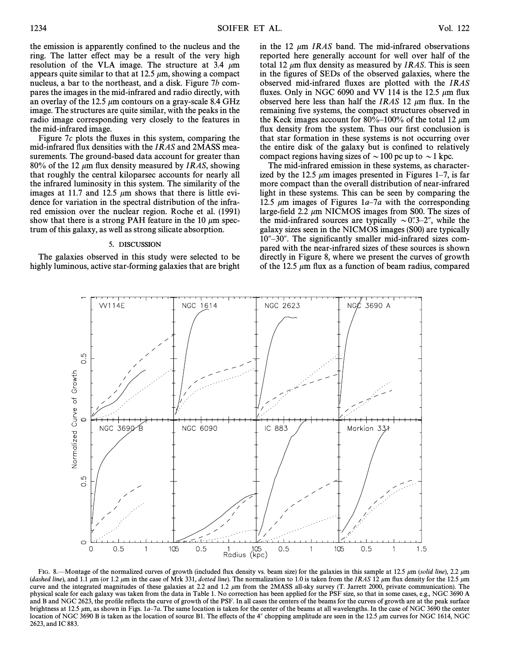the emission is apparently confined to the nucleus and the ring. The latter effect may be a result of the very high resolution of the VLA image. The structure at 3.4  $\mu$ m appears quite similar to that at 12.5  $\mu$ m, showing a compact nucleus, a bar to the northeast, and a disk. Figure 7b compares the images in the mid-infrared and radio directly, with an overlay of the 12.5  $\mu$ m contours on a gray-scale 8.4 GHz image. The structures are quite similar, with the peaks in the radio image corresponding very closely to the features in the mid-infrared image.

Figure  $7c$  plots the fluxes in this system, comparing the mid-infrared flux densities with the *IRAS* and 2MASS measurements. The ground-based data account for greater than 80% of the 12  $\mu$ m flux density measured by IRAS, showing that roughly the central kiloparsec accounts for nearly all the infrared luminosity in this system. The similarity of the images at 11.7 and 12.5  $\mu$ m shows that there is little evidence for variation in the spectral distribution of the infrared emission over the nuclear region. Roche et al. (1991) show that there is a strong PAH feature in the 10  $\mu$ m spectrum of this galaxy, as well as strong silicate absorption.

#### 5. DISCUSSION

The galaxies observed in this study were selected to be highly luminous, active star-forming galaxies that are bright in the 12  $\mu$ m *IRAS* band. The mid-infrared observations reported here generally account for well over half of the total 12  $\mu$ m flux density as measured by IRAS. This is seen in the figures of SEDs of the observed galaxies, where the observed mid-infrared Ñuxes are plotted with the IRAS fluxes. Only in NGC 6090 and VV 114 is the 12.5  $\mu$ m flux observed here less than half the IRAS 12  $\mu$ m flux. In the remaining five systems, the compact structures observed in the Keck images account for 80%–100% of the total 12  $\mu$ m flux density from the system. Thus our first conclusion is that star formation in these systems is not occurring over the entire disk of the galaxy but is confined to relatively compact regions having sizes of  $\sim$  100 pc up to  $\sim$  1 kpc.

The mid-infrared emission in these systems, as characterized by the 12.5  $\mu$ m images presented in Figures 1–7, is far more compact than the overall distribution of near-infrared light in these systems. This can be seen by comparing the 12.5  $\mu$ m images of Figures 1a–7a with the corresponding large-field 2.2  $\mu$ m NICMOS images from S00. The sizes of the mid-infrared sources are typically  $\sim 0^{\prime\prime}$ , while the galaxy sizes seen in the NICMOS images (S00) are typically 10"-30". The significantly smaller mid-infrared sizes compared with the near-infrared sizes of these sources is shown directly in Figure 8, where we present the curves of growth of the 12.5  $\mu$ m flux as a function of beam radius, compared



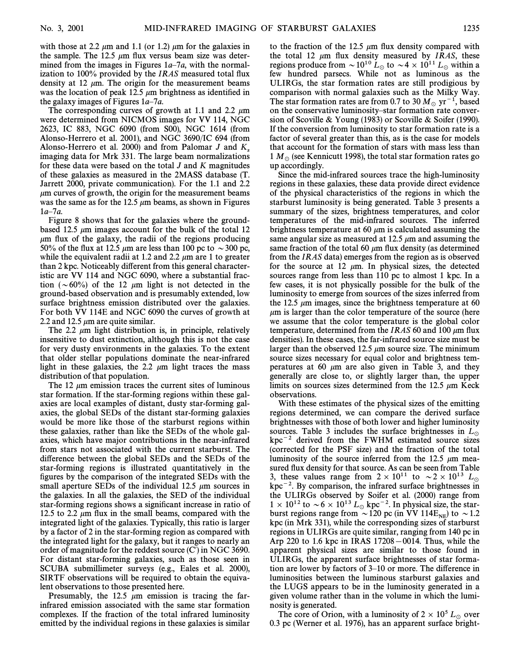with those at 2.2  $\mu$ m and 1.1 (or 1.2)  $\mu$ m for the galaxies in the sample. The 12.5  $\mu$ m flux versus beam size was determined from the images in Figures  $1a-7a$ , with the normalization to 100% provided by the *IRAS* measured total flux density at 12  $\mu$ m. The origin for the measurement beams was the location of peak 12.5  $\mu$ m brightness as identified in the galaxy images of Figures  $1a-7a$ .

The corresponding curves of growth at 1.1 and 2.2  $\mu$ m were determined from NICMOS images for VV 114, NGC 2623, IC 883, NGC 6090 (from S00), NGC 1614 (from Alonso-Herrero et al. 2001), and NGC 3690/IC 694 (from Alonso-Herrero et al. 2000) and from Palomar J and  $K_s$  imaging data for Mrk 331. The large beam normalizations for these data were based on the total  $J$  and  $K$  magnitudes of these galaxies as measured in the 2MASS database (T. Jarrett 2000, private communication). For the 1.1 and 2.2  $\mu$ m curves of growth, the origin for the measurement beams was the same as for the 12.5  $\mu$ m beams, as shown in Figures  $1a-7a$ .

Figure 8 shows that for the galaxies where the groundbased 12.5  $\mu$ m images account for the bulk of the total 12  $\mu$ m flux of the galaxy, the radii of the regions producing 50% of the flux at 12.5  $\mu$ m are less than 100 pc to  $\sim$ 300 pc, while the equivalent radii at 1.2 and 2.2  $\mu$ m are 1 to greater than 2 kpc. Noticeably different from this general characteristic are VV 114 and NGC 6090, where a substantial fraction ( $\sim 60\%$ ) of the 12  $\mu$ m light is not detected in the ground-based observation and is presumably extended, low surface brightness emission distributed over the galaxies. For both VV 114E and NGC 6090 the curves of growth at 2.2 and 12.5  $\mu$ m are quite similar.

The 2.2  $\mu$ m light distribution is, in principle, relatively insensitive to dust extinction, although this is not the case for very dusty environments in the galaxies. To the extent that older stellar populations dominate the near-infrared light in these galaxies, the 2.2  $\mu$ m light traces the mass distribution of that population.

The 12  $\mu$ m emission traces the current sites of luminous star formation. If the star-forming regions within these galaxies are local examples of distant, dusty star-forming galaxies, the global SEDs of the distant star-forming galaxies would be more like those of the starburst regions within these galaxies, rather than like the SEDs of the whole galaxies, which have major contributions in the near-infrared from stars not associated with the current starburst. The difference between the global SEDs and the SEDs of the star-forming regions is illustrated quantitatively in the figures by the comparison of the integrated SEDs with the small aperture SEDs of the individual 12.5  $\mu$ m sources in the galaxies. In all the galaxies, the SED of the individual star-forming regions shows a significant increase in ratio of 12.5 to 2.2  $\mu$ m flux in the small beams, compared with the integrated light of the galaxies. Typically, this ratio is larger by a factor of 2 in the star-forming region as compared with the integrated light for the galaxy, but it ranges to nearly an order of magnitude for the reddest source  $(C')$  in NGC 3690. For distant star-forming galaxies, such as those seen in SCUBA submillimeter surveys (e.g., Eales et al. 2000), SIRTF observations will be required to obtain the equivalent observations to those presented here.

Presumably, the 12.5  $\mu$ m emission is tracing the farinfrared emission associated with the same star formation complexes. If the fraction of the total infrared luminosity emitted by the individual regions in these galaxies is similar

to the fraction of the 12.5  $\mu$ m flux density compared with the total 12  $\mu$ m flux density measured by IRAS, these regions produce from  $\sim 10^{10} L_{\odot}$  to  $\sim 4 \times 10^{11} L_{\odot}$  within a few hundred parsecs. While not as luminous as the ULIRGs, the star formation rates are still prodigious by comparison with normal galaxies such as the Milky Way. The star formation rates are from 0.7 to 30  $M_{\odot}$  yr<sup>-1</sup>, based on the conservative luminosity-star formation rate conversion of Scoville & Young (1983) or Scoville & Soifer (1990). If the conversion from luminosity to star formation rate is a factor of several greater than this, as is the case for models that account for the formation of stars with mass less than 1  $M_\odot$  (see Kennicutt 1998), the total star formation rates go up accordingly.

Since the mid-infrared sources trace the high-luminosity regions in these galaxies, these data provide direct evidence of the physical characteristics of the regions in which the starburst luminosity is being generated. Table 3 presents a summary of the sizes, brightness temperatures, and color temperatures of the mid-infrared sources. The inferred brightness temperature at 60  $\mu$ m is calculated assuming the same angular size as measured at 12.5  $\mu$ m and assuming the same fraction of the total 60  $\mu$ m flux density (as determined from the IRAS data) emerges from the region as is observed for the source at 12  $\mu$ m. In physical sizes, the detected sources range from less than 110 pc to almost 1 kpc. In a few cases, it is not physically possible for the bulk of the luminosity to emerge from sources of the sizes inferred from the 12.5  $\mu$ m images, since the brightness temperature at 60  $\mu$ m is larger than the color temperature of the source (here we assume that the color temperature is the global color temperature, determined from the IRAS 60 and 100  $\mu$ m flux densities). In these cases, the far-infrared source size must be larger than the observed 12.5  $\mu$ m source size. The minimum source sizes necessary for equal color and brightness temperatures at 60  $\mu$ m are also given in Table 3, and they generally are close to, or slightly larger than, the upper limits on sources sizes determined from the 12.5  $\mu$ m Keck observations.

With these estimates of the physical sizes of the emitting regions determined, we can compare the derived surface brightnesses with those of both lower and higher luminosity sources. Table 3 includes the surface brightnesses in  $L_{\odot}$  $kpc^{-2}$  derived from the FWHM estimated source sizes (corrected for the PSF size) and the fraction of the total luminosity of the source inferred from the 12.5  $\mu$ m measured flux density for that source. As can be seen from Table 3, these values range from  $2 \times 10^{11}$  to  $\sim 2 \times 10^{13}$  L<sub>o</sub>  $kpc^{-2}$ . By comparison, the infrared surface brightnesses in the ULIRGs observed by Soifer et al. (2000) range from  $1 \times 10^{12}$  to  $\sim 6 \times 10^{13} L_{\odot}$  kpc<sup>-2</sup>. In physical size, the starburst regions range from  $\sim$  120 pc (in VV 114E<sub>NE</sub>) to  $\sim$  1.2 kpc (in Mrk 331), while the corresponding sizes of starburst regions in ULIRGs are quite similar, ranging from 140 pc in Arp 220 to 1.6 kpc in IRAS  $17208-0014$ . Thus, while the apparent physical sizes are similar to those found in ULIRGs, the apparent surface brightnesses of star formation are lower by factors of  $3-10$  or more. The difference in luminosities between the luminous starburst galaxies and the LUGS appears to be in the luminosity generated in a given volume rather than in the volume in which the luminosity is generated.

The core of Orion, with a luminosity of  $2 \times 10^5 L_{\odot}$  over 0.3 pc (Werner et al. 1976), has an apparent surface bright-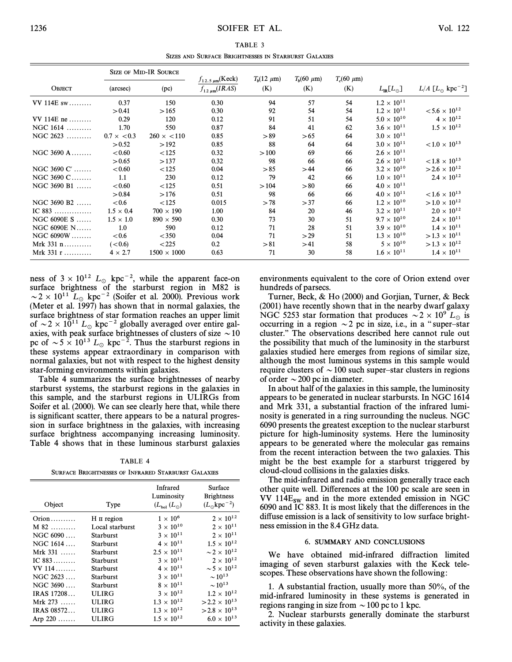TABLE 3 SIZES AND SURFACE BRIGHTNESSES IN STARBURST GALAXIES

| <b>SIZE OF MID-IR SOURCE</b> |                    |                    | $f_{12.5 \mu m}$ (Keck) | $T_h(12 \mu m)$ | $T_h(60 \mu m)$ | $T_c(60 \mu m)$ |                         |                                         |
|------------------------------|--------------------|--------------------|-------------------------|-----------------|-----------------|-----------------|-------------------------|-----------------------------------------|
| <b>OBJECT</b>                | (arcsec)           | (pc)               | $f_{12 \mu m}(IRAS)$    | (K)             | (K)             | (K)             | $L_{\rm IR}[L_{\odot}]$ | $L/A$ [ $L_{\odot}$ kpc <sup>-2</sup> ] |
| VV 114E sw                   | 0.37               | 150                | 0.30                    | 94              | 57              | 54              | $1.2 \times 10^{11}$    |                                         |
|                              | > 0.41             | >165               | 0.30                    | 92              | 54              | 54              | $1.2 \times 10^{11}$    | $< 5.6 \times 10^{12}$                  |
| $VV 114E$ ne                 | 0.29               | 120                | 0.12                    | 91              | 51              | 54              | $5.0 \times 10^{10}$    | $4 \times 10^{12}$                      |
| NGC $1614$                   | 1.70               | 550                | 0.87                    | 84              | 41              | 62              | $3.6 \times 10^{11}$    | $1.5 \times 10^{12}$                    |
| $NGC 2623$                   | $0.7 \times < 0.3$ | $260 \times < 110$ | 0.85                    | > 89            | > 65            | 64              | $3.0 \times 10^{11}$    |                                         |
|                              | > 0.52             | >192               | 0.85                    | 88              | 64              | 64              | $3.0 \times 10^{11}$    | $< 1.0 \times 10^{13}$                  |
| NGC 3690 A                   | < 0.60             | < 125              | 0.32                    | >100            | 69              | 66              | $2.6 \times 10^{11}$    |                                         |
|                              | > 0.65             | >137               | 0.32                    | 98              | 66              | 66              | $2.6 \times 10^{11}$    | $< 1.8 \times 10^{13}$                  |
| NGC 3690 $C'$                | < 0.60             | < 125              | 0.04                    | > 85            | >44             | 66              | $3.2 \times 10^{10}$    | $>2.6\times10^{12}$                     |
| NGC 3690 C                   | 1.1                | 230                | 0.12                    | 79              | 42              | 66              | $1.0 \times 10^{11}$    | $2.4 \times 10^{12}$                    |
| $NGC 3690 B1$                | < 0.60             | < 125              | 0.51                    | >104            | > 80            | 66              | $4.0 \times 10^{11}$    |                                         |
|                              | > 0.84             | >176               | 0.51                    | 98              | 66              | 66              | $4.0 \times 10^{11}$    | $< 1.6 \times 10^{13}$                  |
| $NGC 3690 B2$                | < 0.6              | < 125              | 0.015                   | > 78            | >37             | 66              | $1.2 \times 10^{10}$    | $>1.0\times10^{12}$                     |
| IC $883$                     | $1.5 \times 0.4$   | $700 \times 190$   | 1.00                    | 84              | 20              | 46              | $3.2 \times 10^{11}$    | $2.0 \times 10^{12}$                    |
| NGC 6090E S                  | $1.5 \times 1.0$   | $890 \times 590$   | 0.30                    | 73              | 30              | 51              | $9.7 \times 10^{10}$    | $2.4 \times 10^{11}$                    |
| NGC 6090E N                  | 1.0                | 590                | 0.12                    | 71              | 28              | 51              | $3.9 \times 10^{10}$    | $1.4 \times 10^{11}$                    |
| $NGC 6090W$                  | <0.6               | $<$ 350            | 0.04                    | 71              | >29             | 51              | $1.3 \times 10^{10}$    | $>1.3\times10^{11}$                     |
| Mrk $331$ n                  | (< 0.6)            | < 225              | 0.2                     | > 81            | >41             | 58              | $5 \times 10^{10}$      | $>1.3\times10^{12}$                     |
| Mrk $331$ r                  | $4 \times 2.7$     | $1500 \times 1000$ | 0.63                    | 71              | 30              | 58              | $1.6 \times 10^{11}$    | $1.4 \times 10^{11}$                    |

ness of  $3 \times 10^{12}$  L<sub>o</sub> kpc<sup>-2</sup>, while the apparent face-on surface brightness of the starburst region in M82 is  $\sim$  2  $\times$  10<sup>11</sup> L<sub>☉</sub> kpc<sup>-2</sup> (Soifer et al. 2000). Previous work (Meter et al. 1997) has shown that in normal galaxies, the surface brightness of star formation reaches an upper limit of  $\sim$  2  $\times$  10<sup>11</sup> L<sub>o</sub> kpc<sup>-2</sup> globally averaged over entire galaxies, with peak surface brightnesses of clusters of size  $\sim$  10 pc of  $\sim 5 \times 10^{13} L_{\odot}$  kpc<sup>-2</sup>. Thus the starburst regions in these systems appear extraordinary in comparison with normal galaxies, but not with respect to the highest density star-forming environments within galaxies.

Table 4 summarizes the surface brightnesses of nearby starburst systems, the starburst regions in the galaxies in this sample, and the starburst regions in ULIRGs from Soifer et al. (2000). We can see clearly here that, while there is significant scatter, there appears to be a natural progression in surface brightness in the galaxies, with increasing surface brightness accompanying increasing luminosity. Table 4 shows that in these luminous starburst galaxies

TABLE 4 SURFACE BRIGHTNESSES OF INFRARED STARBURST GALAXIES

| Object     | Type             | Infrared<br>Luminosity<br>$(L_{\rm bol} (L_{\odot}))$ | Surface<br><b>Brightness</b><br>$(L_{\odot} kpc^{-2})$ |
|------------|------------------|-------------------------------------------------------|--------------------------------------------------------|
| $Oron$     | H II region      | $1 \times 10^6$                                       | $2 \times 10^{12}$                                     |
| $M$ 82     | Local starburst  | $3 \times 10^{10}$                                    | $2 \times 10^{11}$                                     |
| NGC 6090   | <b>Starburst</b> | $3 \times 10^{11}$                                    | $2 \times 10^{11}$                                     |
| NGC 1614   | Starburst        | $4 \times 10^{11}$                                    | $1.5 \times 10^{12}$                                   |
| Mrk $331$  | <b>Starburst</b> | $2.5 \times 10^{11}$                                  | $\sim$ 2 $\times$ 10 <sup>12</sup>                     |
| IC $883$   | Starburst        | $3 \times 10^{11}$                                    | $2 \times 10^{12}$                                     |
| $VV$ 114   | Starburst        | $4 \times 10^{11}$                                    | $\sim$ 5 $\times$ 10 <sup>12</sup>                     |
| NGC 2623   | Starburst        | $3 \times 10^{11}$                                    | $\sim 10^{13}$                                         |
| NGC 3690   | Starburst        | $8 \times 10^{11}$                                    | $\sim 10^{13}$                                         |
| IRAS 17208 | <b>ULIRG</b>     | $3 \times 10^{12}$                                    | $1.2 \times 10^{12}$                                   |
| Mrk $273$  | <b>ULIRG</b>     | $1.3 \times 10^{12}$                                  | $>2.2\times10^{13}$                                    |
| IRAS 08572 | <b>ULIRG</b>     | $1.3 \times 10^{12}$                                  | $>2.8\times10^{13}$                                    |
| Arp $220$  | ULIRG            | $1.5 \times 10^{12}$                                  | $6.0 \times 10^{13}$                                   |

environments equivalent to the core of Orion extend over hundreds of parsecs.

Turner, Beck, & Ho (2000) and Gorjian, Turner, & Beck (2001) have recently shown that in the nearby dwarf galaxy NGC 5253 star formation that produces  $\sim$  2  $\times$  10<sup>9</sup> L<sub>o</sub> is occurring in a region  $\sim$  2 pc in size, i.e., in a "super-star cluster." The observations described here cannot rule out the possibility that much of the luminosity in the starburst galaxies studied here emerges from regions of similar size, although the most luminous systems in this sample would require clusters of  $\sim$  100 such super–star clusters in regions of order  $\sim$  200 pc in diameter.

In about half of the galaxies in this sample, the luminosity appears to be generated in nuclear starbursts. In NGC 1614 and Mrk 331, a substantial fraction of the infrared luminosity is generated in a ring surrounding the nucleus. NGC 6090 presents the greatest exception to the nuclear starburst picture for high-luminosity systems. Here the luminosity appears to be generated where the molecular gas remains from the recent interaction between the two galaxies. This might be the best example for a starburst triggered by cloud-cloud collisions in the galaxies disks.

The mid-infrared and radio emission generally trace each other quite well. Differences at the 100 pc scale are seen in VV 114 $E_{\text{sw}}$  and in the more extended emission in NGC 6090 and IC 883. It is most likely that the di†erences in the diffuse emission is a lack of sensitivity to low surface brightness emission in the 8.4 GHz data.

### 6. SUMMARY AND CONCLUSIONS

We have obtained mid-infrared diffraction limited imaging of seven starburst galaxies with the Keck telescopes. These observations have shown the following :

1. A substantial fraction, usually more than 50%, of the mid-infrared luminosity in these systems is generated in regions ranging in size from  $\sim$  100 pc to 1 kpc.

2. Nuclear starbursts generally dominate the starburst activity in these galaxies.